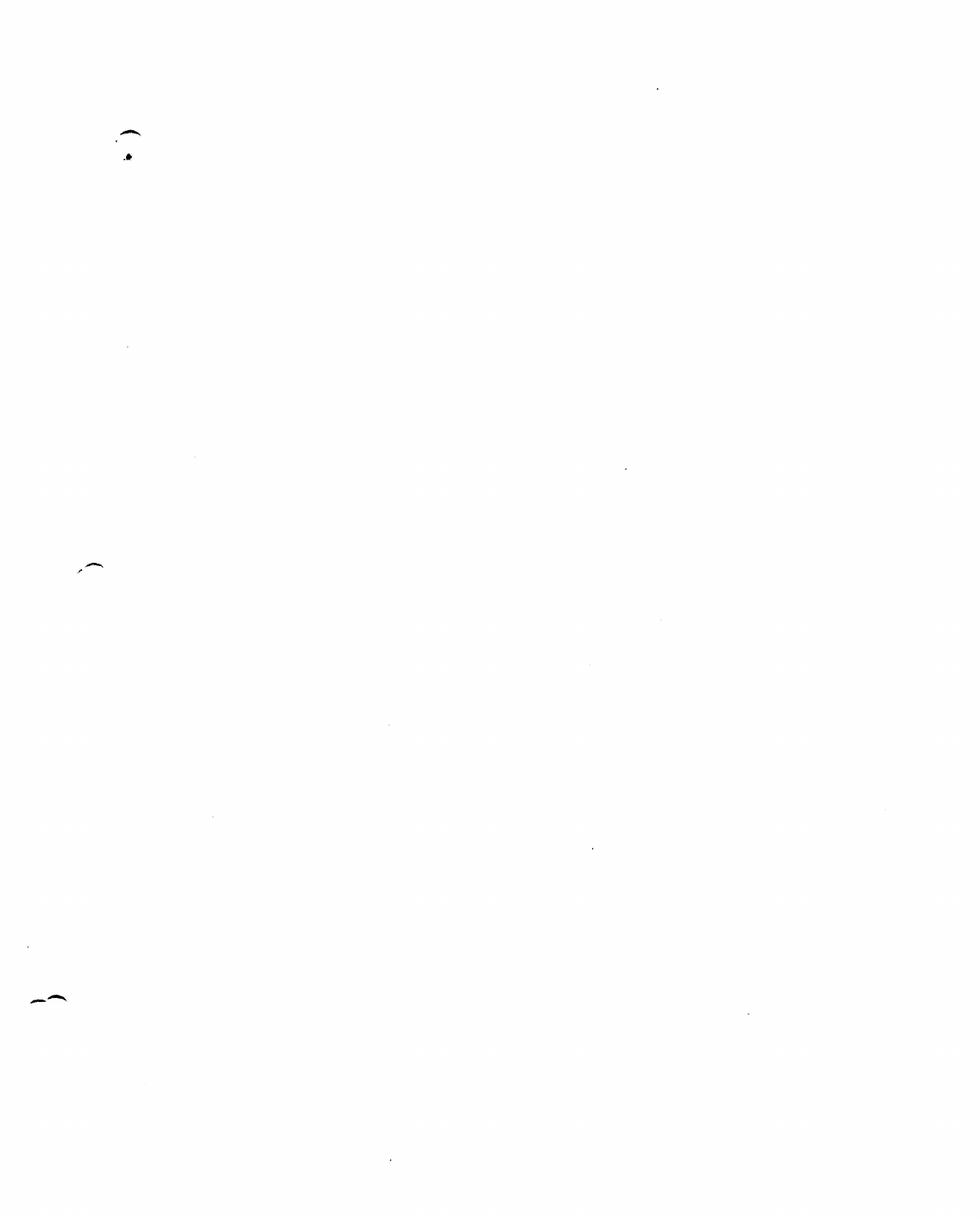$\label{eq:2.1} \mathcal{L}(\mathcal{A}) = \mathcal{L}(\mathcal{A}) \otimes \mathcal{L}(\mathcal{A})$ 

 $\label{eq:2.1} \frac{1}{\sqrt{2}}\left(\frac{1}{\sqrt{2}}\right)^{2} \left(\frac{1}{\sqrt{2}}\right)^{2} \left(\frac{1}{\sqrt{2}}\right)^{2} \left(\frac{1}{\sqrt{2}}\right)^{2} \left(\frac{1}{\sqrt{2}}\right)^{2} \left(\frac{1}{\sqrt{2}}\right)^{2} \left(\frac{1}{\sqrt{2}}\right)^{2} \left(\frac{1}{\sqrt{2}}\right)^{2} \left(\frac{1}{\sqrt{2}}\right)^{2} \left(\frac{1}{\sqrt{2}}\right)^{2} \left(\frac{1}{\sqrt{2}}\right)^{2} \left(\$ 

 $\hat{\boldsymbol{\beta}}$ 

 $\label{eq:2.1} \frac{1}{\sqrt{2}}\int_{\mathbb{R}^3}\frac{1}{\sqrt{2}}\left(\frac{1}{\sqrt{2}}\right)^2\frac{1}{\sqrt{2}}\left(\frac{1}{\sqrt{2}}\right)^2\frac{1}{\sqrt{2}}\left(\frac{1}{\sqrt{2}}\right)^2\frac{1}{\sqrt{2}}\left(\frac{1}{\sqrt{2}}\right)^2\frac{1}{\sqrt{2}}\left(\frac{1}{\sqrt{2}}\right)^2\frac{1}{\sqrt{2}}\frac{1}{\sqrt{2}}\frac{1}{\sqrt{2}}\frac{1}{\sqrt{2}}\frac{1}{\sqrt{2}}\frac{1}{\sqrt{2}}$ 

 $\label{eq:2.1} \mathcal{L}_{\mathcal{A}}(x) = \mathcal{L}_{\mathcal{A}}(x) + \mathcal{L}_{\mathcal{A}}(x) + \mathcal{L}_{\mathcal{A}}(x)$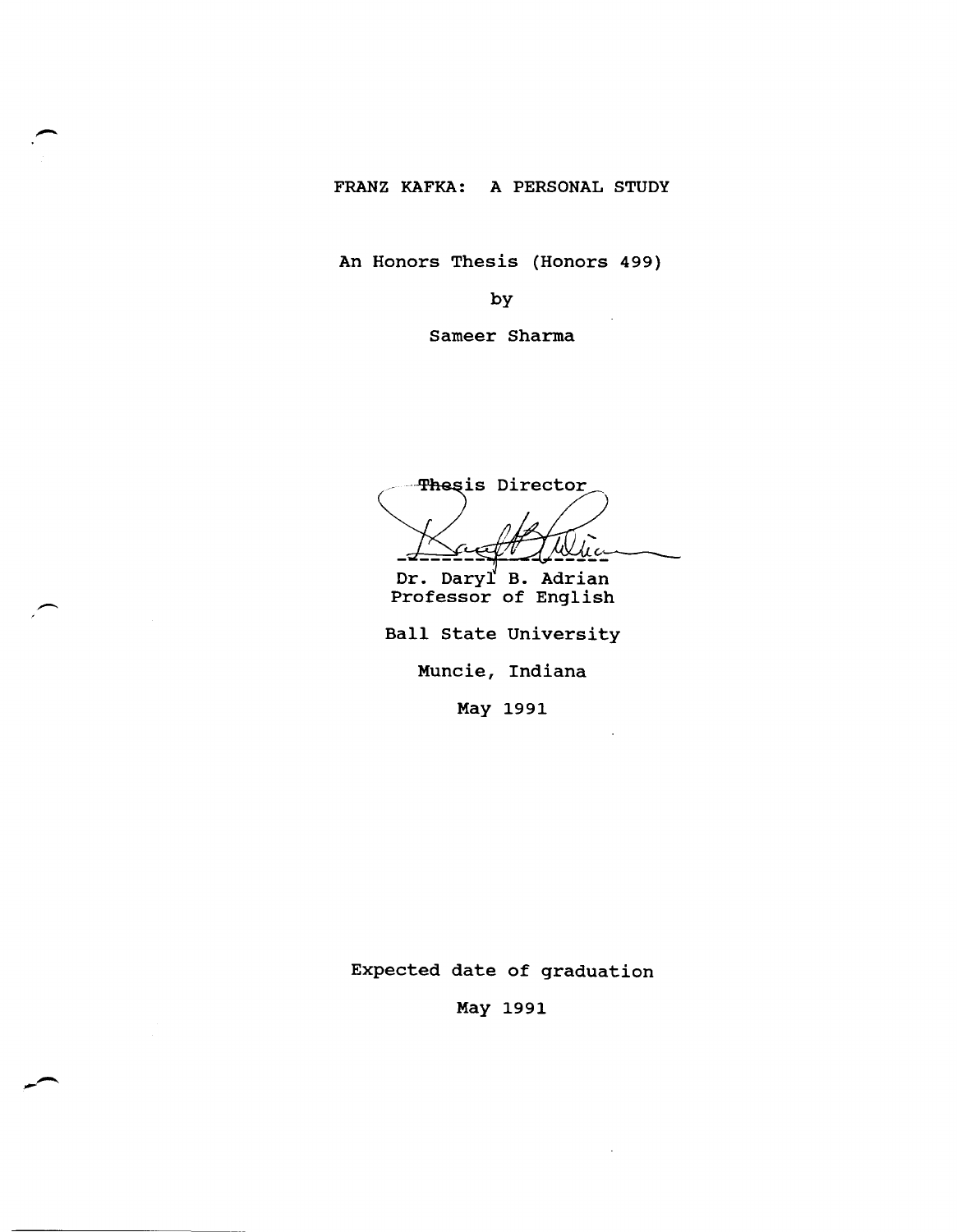An Honors Thesis (Honors 499)

by

Sameer Sharma

Thesis Director

Dr. Daryl B. Adrian<br>Professor of English

Ball State University Muncie, Indiana

May 1991

Expected date of graduation

May 1991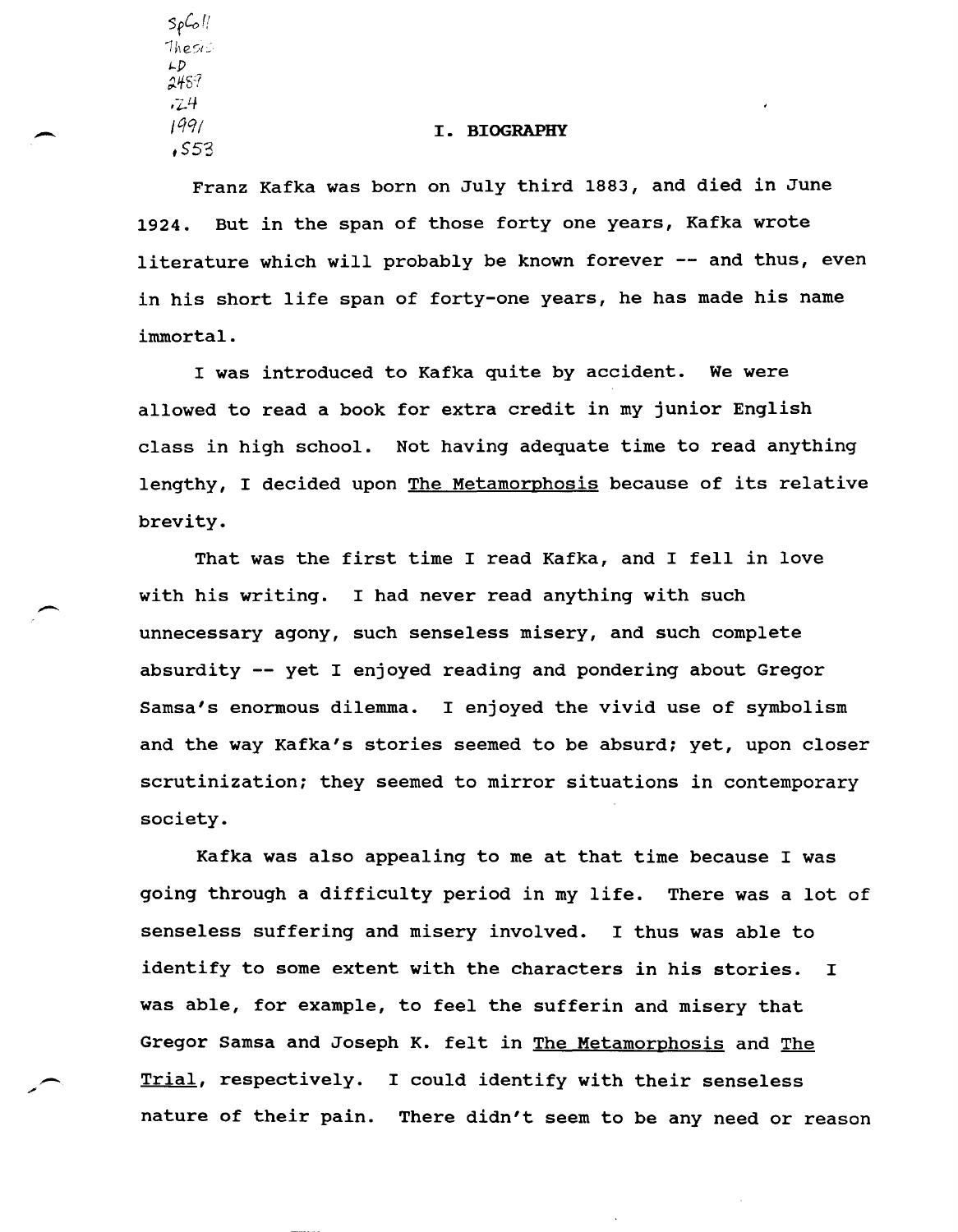*5r* Cof!  $The$ *i-.p*   $2457$ .2-4 *,qq;*  ,553

 $\overline{\phantom{a}}$ 

 $\overline{\phantom{a}}$ 

 $\overline{\phantom{a}}$ 

# I. BIOGRAPHY

Franz Kafka was born on July third 1883, and died in June 1924. But in the span of those forty one years, Kafka wrote literature which will probably be known forever -- and thus, even in his short life span of forty-one years, he has made his name immortal.

I was introduced to Kafka quite by accident. We were allowed to read a book for extra credit in my junior English class in high school. Not having adequate time to read anything lengthy, I decided upon The Metamorphosis because of its relative brevity.

That was the first time I read Kafka, and I fell in love with his writing. I had never read anything with such unnecessary agony, such senseless misery, and such complete absurdity -- yet I enjoyed reading and pondering about Gregor Samsa's enormous dilemma. I enjoyed the vivid use of symbolism and the way Kafka's stories seemed to be absurd; yet, upon closer scrutinization; they seemed to mirror situations in contemporary society.

Kafka was also appealing to me at that time because I was going through a difficulty period in my life. There was a lot of senseless suffering and misery involved. I thus was able to identify to some extent with the characters in his stories. I was able, for example, to feel the sufferin and misery that Gregor Samsa and Joseph K. felt in The Metamorphosis and The Trial, respectively. I could identify with their senseless nature of their pain. There didn't seem to be any need or reason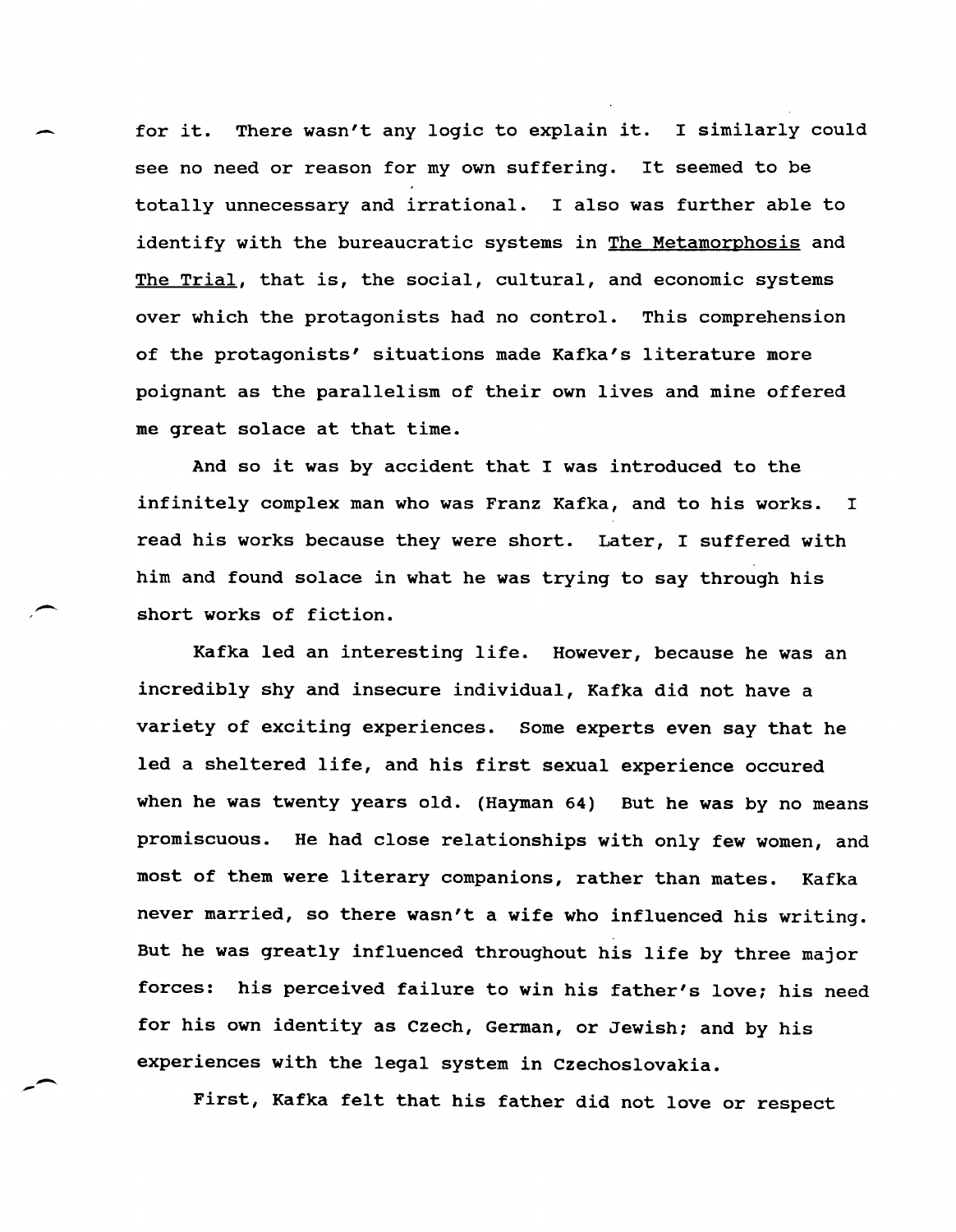for it. There wasn't any logic to explain it. I similarly could see no need or reason for my own suffering. It seemed to be totally unnecessary and irrational. I also was further able to identify with the bureaucratic systems in The Metamorphosis and The Trial, that is, the social, cultural, and economic systems over which the protagonists had no control. This comprehension of the protagonists' situations made Kafka's literature more poignant as the parallelism of their own lives and mine offered me great solace at that time.

And so it was by accident that I was introduced to the infinitely complex man who was Franz Kafka, and to his works. I read his works because they were short. Later, I suffered with him and found solace in what he was trying to say through his short works of fiction.

Kafka led an interesting life. However, because he was an incredibly shy and insecure individual, Kafka did not have a variety of exciting experiences. Some experts even say that he led a sheltered life, and his first sexual experience occured when he was twenty years old. (Hayman 64) But he was by no means promiscuous. He had close relationships with only few women, and most of them were literary companions, rather than mates. Kafka never married, so there wasn't a wife who influenced his writing. But he was greatly influenced throughout his life by three major forces: his perceived failure to win his father's love; his need for his own identity as Czech, German, or Jewish; and by his experiences with the legal system in Czechoslovakia.

First, Kafka felt that his father did not love or respect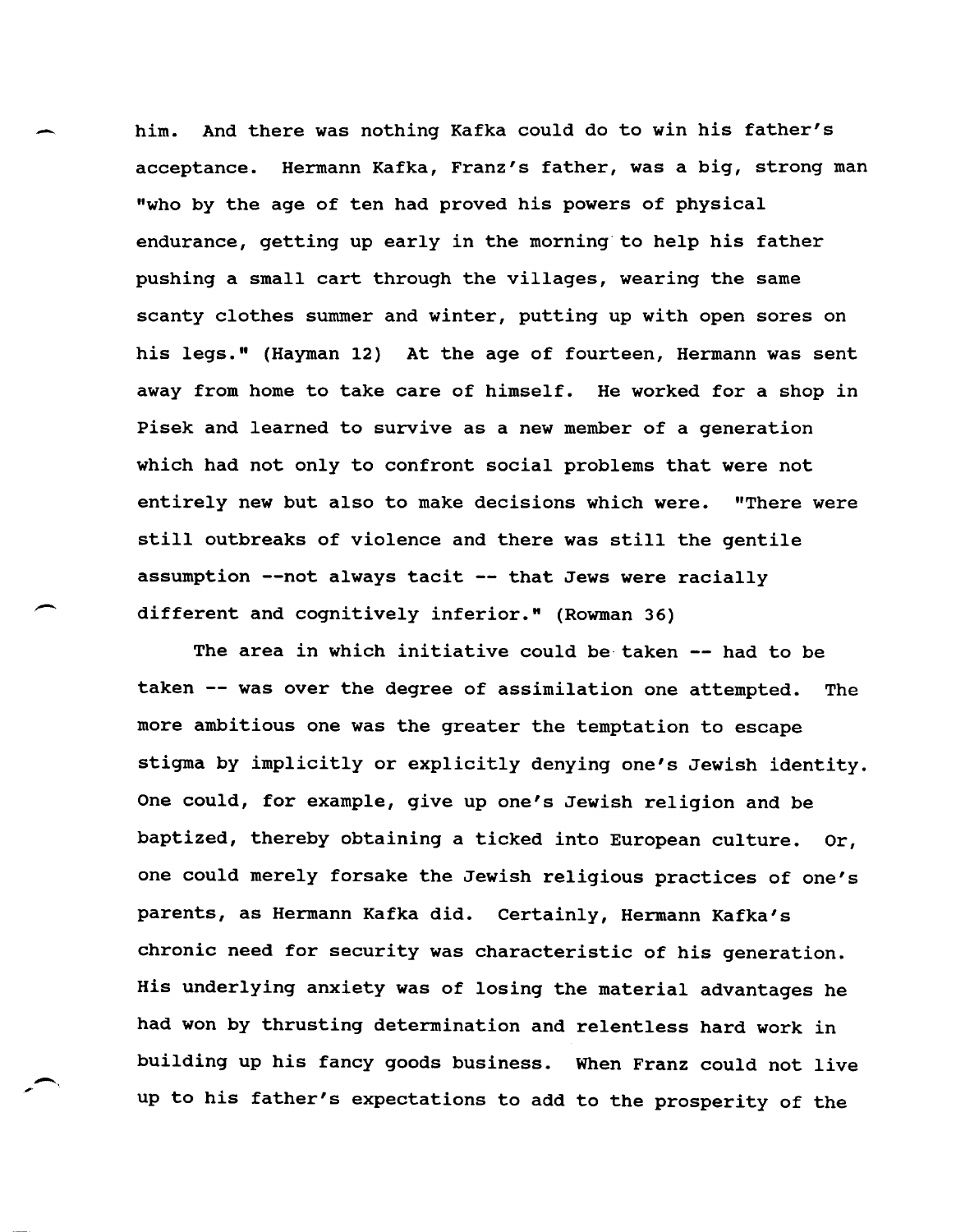him. And there was nothing Kafka could do to win his father's acceptance. Hermann Kafka, Franz's father, was a big, strong man "who by the age of ten had proved his powers of physical endurance, getting up early in the morning to help his father pushing a small cart through the villages, wearing the same scanty clothes summer and winter, putting up with open sores on his legs." (Hayman 12) At the age of fourteen, Hermann was sent away from home to take care of himself. He worked for a shop in Pisek and learned to survive as a new member of a generation which had not only to confront social problems that were not entirely new but also to make decisions which were. "There were still outbreaks of violence and there was still the gentile assumption --not always tacit -- that Jews were racially different and cognitively inferior." (Rowman 36)

The area in which initiative could be taken -- had to be taken -- was over the degree of assimilation one attempted. The more ambitious one was the greater the temptation to escape stigma by implicitly or explicitly denying one's Jewish identity. One could, for example, give up one's Jewish religion and be baptized, thereby obtaining a ticked into European culture. Or, one could merely forsake the Jewish religious practices of one's parents, as Hermann Kafka did. Certainly, Hermann Kafka's chronic need for security was characteristic of his generation. His underlying anxiety was of losing the material advantages he had won by thrusting determination and relentless hard work in building up his fancy goods business. When Franz could not live up to his father's expectations to add to the prosperity of the

 $\overline{\phantom{a}}$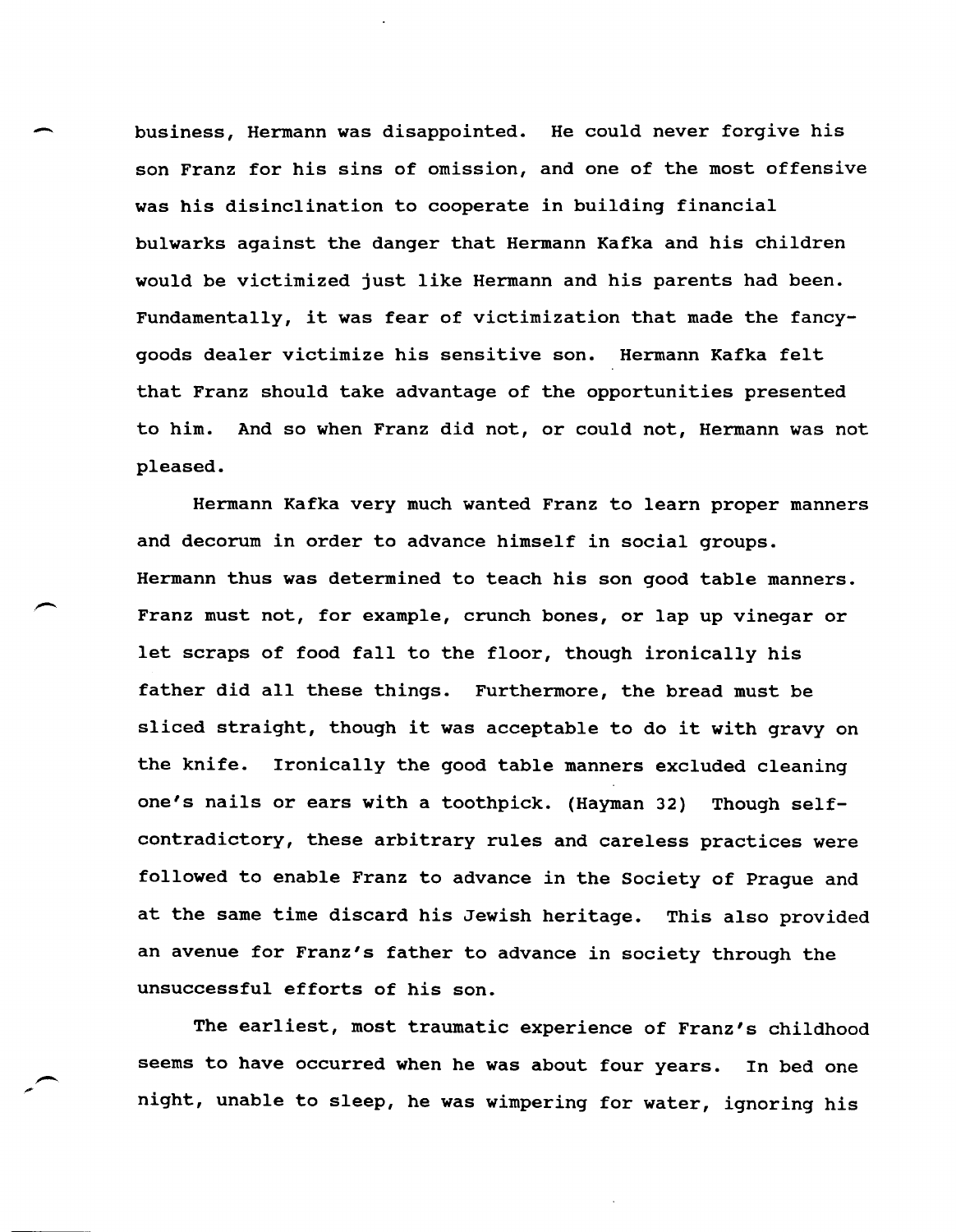- business, Hermann was disappointed. He could never forgive his son Franz for his sins of omission, and one of the most offensive was his disinclination to cooperate in building financial bulwarks against the danger that Hermann Kafka and his children would be victimized just like Hermann and his parents had been. Fundamentally, it was fear of victimization that made the fancygoods dealer victimize his sensitive son. Hermann Kafka felt that Franz should take advantage of the opportunities presented to him. And so when Franz did not, or could not, Hermann was not pleased.

Hermann Kafka very much wanted Franz to learn proper manners and decorum in order to advance himself in social groups. Hermann thus was determined to teach his son good table manners. Franz must not, for example, crunch bones, or lap up vinegar or let scraps of food fall to the floor, though ironically his father did all these things. Furthermore, the bread must be sliced straight, though it was acceptable to do it with gravy on the knife. Ironically the good table manners excluded cleaning one's nails or ears with a toothpick. (Hayman 32) Though selfcontradictory, these arbitrary rules and careless practices were followed to enable Franz to advance in the Society of Prague and at the same time discard his Jewish heritage. This also provided an avenue for Franz's father to advance in society through the unsuccessful efforts of his son.

The earliest, most traumatic experience of Franz's childhood seems to have occurred when he was about four years. In bed one night, unable to sleep, he was wimpering for water, ignoring his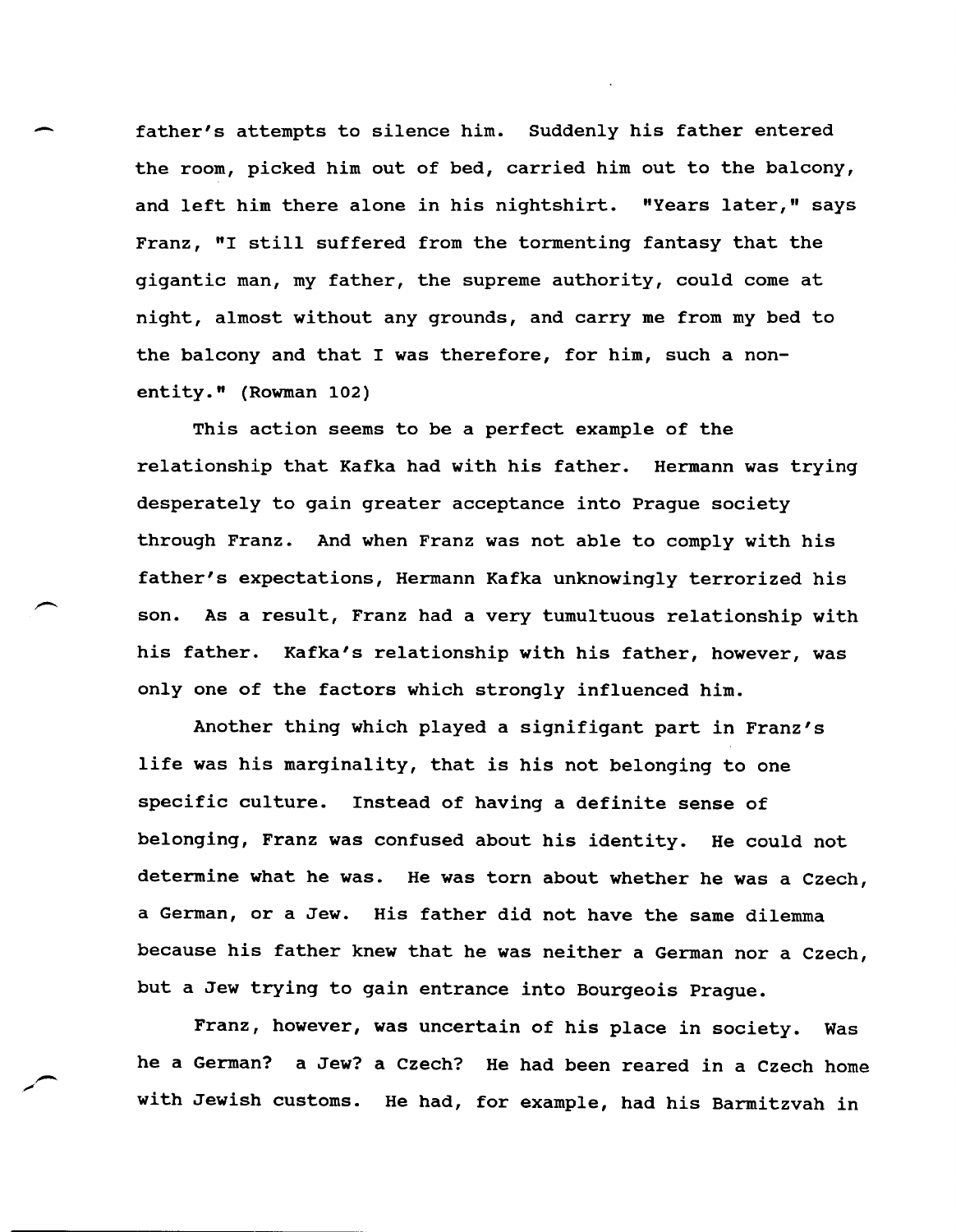father's attempts to silence him. Suddenly his father entered the room, picked him out of bed, carried him out to the balcony, and left him there alone in his nightshirt. "Years later," says Franz, "I still suffered from the tormenting fantasy that the gigantic man, my father, the supreme authority, could come at night, almost without any grounds, and carry me from my bed to the balcony and that I was therefore, for him, such a nonentity." (Rowman 102)

This action seems to be a perfect example of the relationship that Kafka had with his father. Hermann was trying desperately to gain greater acceptance into Prague society through Franz. And when Franz was not able to comply with his father's expectations, Hermann Kafka unknowingly terrorized his son. As a result, Franz had a very tumultuous relationship with his father. Kafka's relationship with his father, however, was only one of the factors which strongly influenced him.

Another thing which played a signifigant part in Franz's life was his marginality, that is his not belonging to one specific culture. Instead of having a definite sense of belonging, Franz was confused about his identity. He could not determine what he was. He was torn about whether he was a Czech, a German, or a Jew. His father did not have the same dilemma because his father knew that he was neither a German nor a Czech, but a Jew trying to gain entrance into Bourgeois Prague.

Franz, however, was uncertain of his place in society. Was he a German? a Jew? a Czech? He had been reared in a Czech home with Jewish customs. He had, for example, had his Barmitzvah in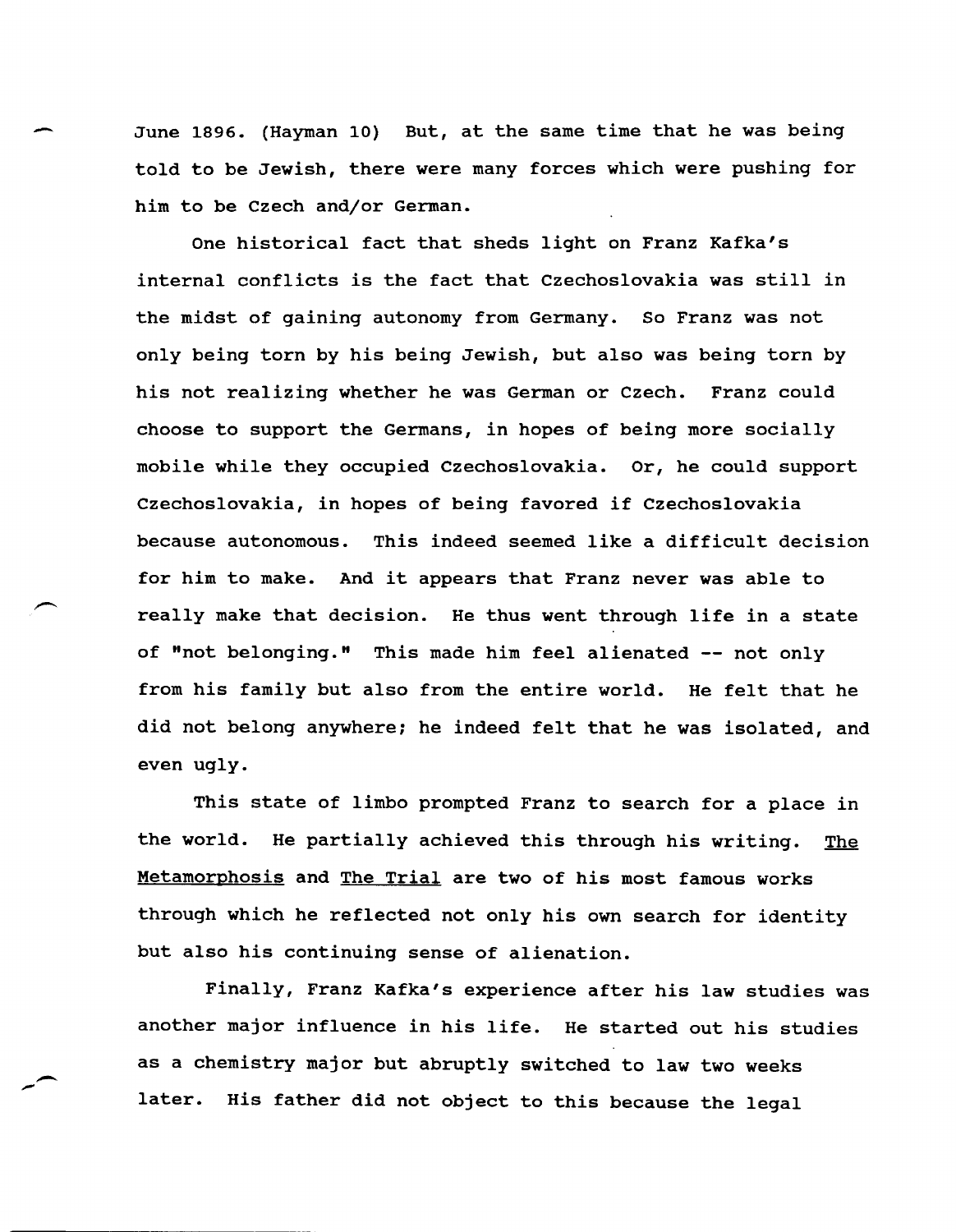June 1896. (Hayman 10) But, at the same time that he was being told to be Jewish, there were many forces which were pushing for him to be Czech and/or German.

One historical fact that sheds light on Franz Kafka's internal conflicts is the fact that Czechoslovakia was still in the midst of gaining autonomy from Germany. So Franz was not only being torn by his being Jewish, but also was being torn by his not realizing whether he was German or Czech. Franz could choose to support the Germans, in hopes of being more socially mobile while they occupied Czechoslovakia. Or, he could support Czechoslovakia, in hopes of being favored if Czechoslovakia because autonomous. This indeed seemed like a difficult decision for him to make. And it appears that Franz never was able to really make that decision. He thus went through life in a state of "not belonging." This made him feel alienated -- not only from his family but also from the entire world. He felt that he did not belong anywhere; he indeed felt that he was isolated, and even ugly.

This state of limbo prompted Franz to search for a place in the world. He partially achieved this through his writing. The Metamorphosis and The Trial are two of his most famous works through which he reflected not only his own search for identity but also his continuing sense of alienation.

Finally, Franz Kafka's experience after his law studies was another major influence in his life. He started out his studies as a chemistry major but abruptly switched to law two weeks later. His father did not object to this because the legal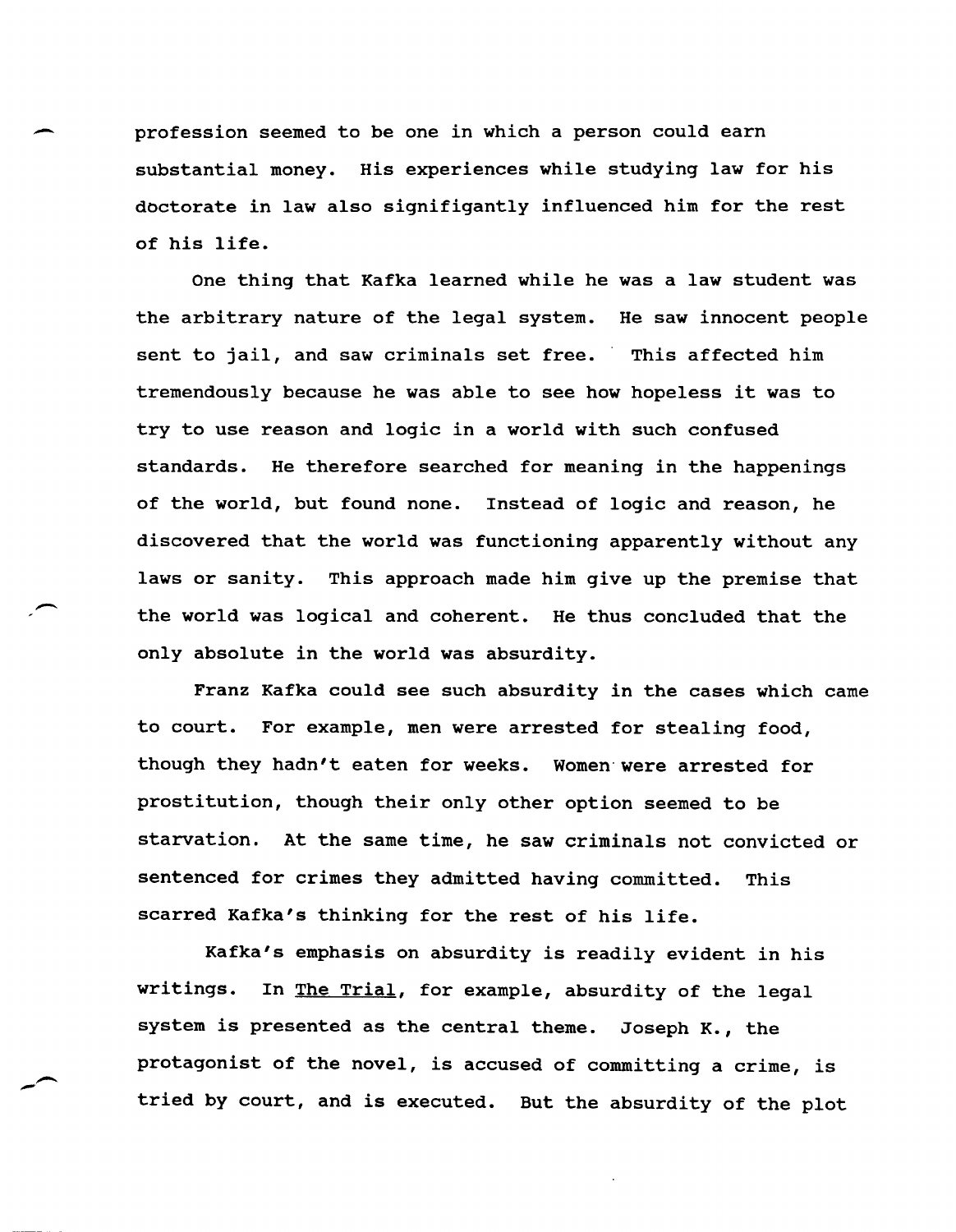profession seemed to be one in which a person could earn substantial money. His experiences while studying law for his doctorate in law also signifigantly influenced him for the rest of his life.

One thing that Kafka learned while he was a law student was the arbitrary nature of the legal system. He saw innocent people sent to jail, and saw criminals set free. This affected him tremendously because he was able to see how hopeless it was to try to use reason and logic in a world with such confused standards. He therefore searched for meaning in the happenings of the world, but found none. Instead of logic and reason, he discovered that the world was functioning apparently without any laws or sanity. This approach made him give up the premise that the world was logical and coherent. He thus concluded that the only absolute in the world was absurdity.

Franz Kafka could see such absurdity in the cases which came to court. For example, men were arrested for stealing food, though they hadn't eaten for weeks. Women· were arrested for prostitution, though their only other option seemed to be starvation. At the same time, he saw criminals not convicted or sentenced for crimes they admitted having committed. This scarred Kafka's thinking for the rest of his life.

Kafka's emphasis on absurdity is readily evident in his writings. In The Trial, for example, absurdity of the legal system is presented as the central theme. Joseph K., the protagonist of the novel, is accused of committing a crime, is tried by court, and is executed. But the absurdity of the plot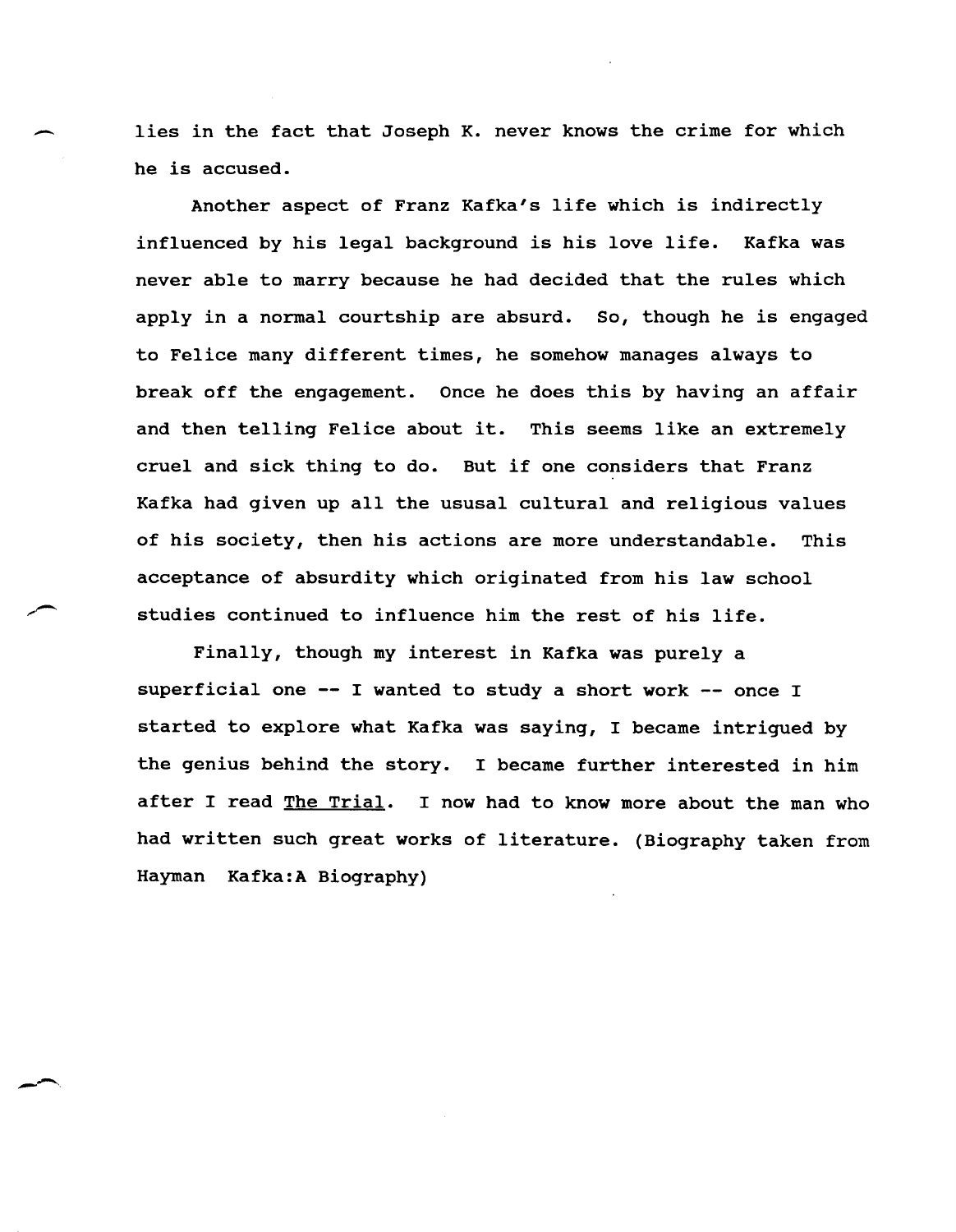lies in the fact that Joseph K. never knows the crime for which he is accused.

Another aspect of Franz Kafka's life which is indirectly influenced by his legal background is his love life. Kafka was never able to marry because he had decided that the rules which apply in a normal courtship are absurd. So, though he is engaged to Felice many different times, he somehow manages always to break off the engagement. Once he does this by having an affair and then telling Felice about it. This seems like an extremely cruel and sick thing to do. But if one considers that Franz Kafka had given up all the ususal cultural and religious values of his society, then his actions are more understandable. This acceptance of absurdity which originated from his law school studies continued to influence him the rest of his life.

Finally, though my interest in Kafka was purely a superficial one  $--$  I wanted to study a short work  $--$  once I started to explore what Kafka was saying, I became intrigued by the genius behind the story. I became further interested in him after I read The Trial. I now had to know more about the man who had written such great works of literature. (Biography taken from Hayman Kafka:A Biography)

 $\rightarrow$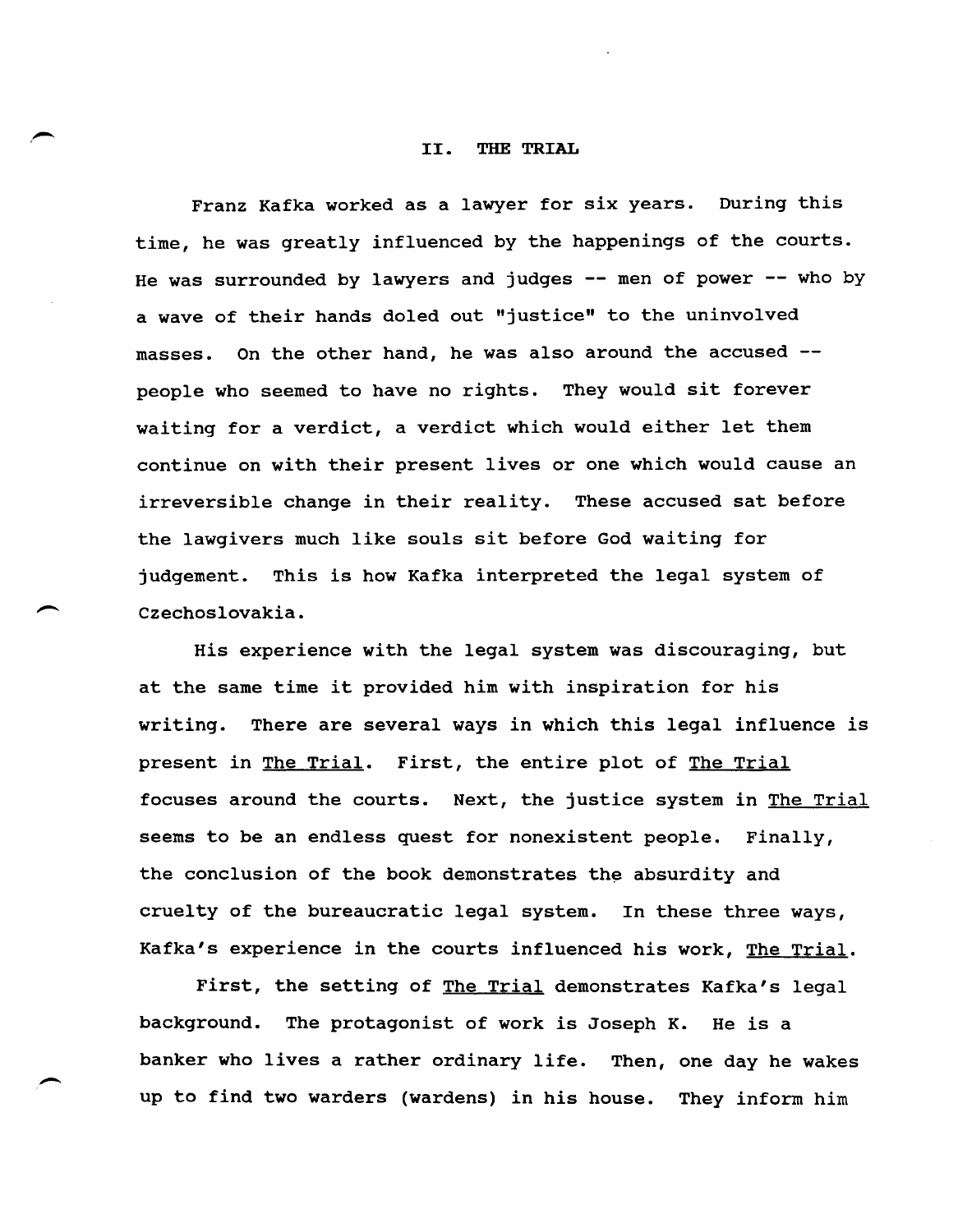# II. THE TRIAL

Franz Kafka worked as a lawyer for six years. During this time, he was greatly influenced by the happenings of the courts. He was surrounded by lawyers and judges  $-$  men of power  $-$  who by a wave of their hands doled out "justice" to the uninvolved masses. On the other hand, he was also around the accused - people who seemed to have no rights. They would sit forever waiting for a verdict, a verdict which would either let them continue on with their present lives or one which would cause an irreversible change in their reality. These accused sat before the lawgivers much like souls sit before God waiting for judgement. This is how Kafka interpreted the legal system of Czechoslovakia.

His experience with the legal system was discouraging, but at the same time it provided him with inspiration for his writing. There are several ways in which this legal influence is present in The Trial. First, the entire plot of The Trial focuses around the courts. Next, the justice system in The Trial seems to be an endless quest for nonexistent people. Finally, the conclusion of the book demonstrates the absurdity and cruelty of the bureaucratic legal system. In these three ways, Kafka's experience in the courts influenced his work, The Trial.

First, the setting of The Trial demonstrates Kafka's legal background. The protagonist of work is Joseph K. He is a banker who lives a rather ordinary life. Then, one day he wakes up to find two warders (wardens) in his house. They inform him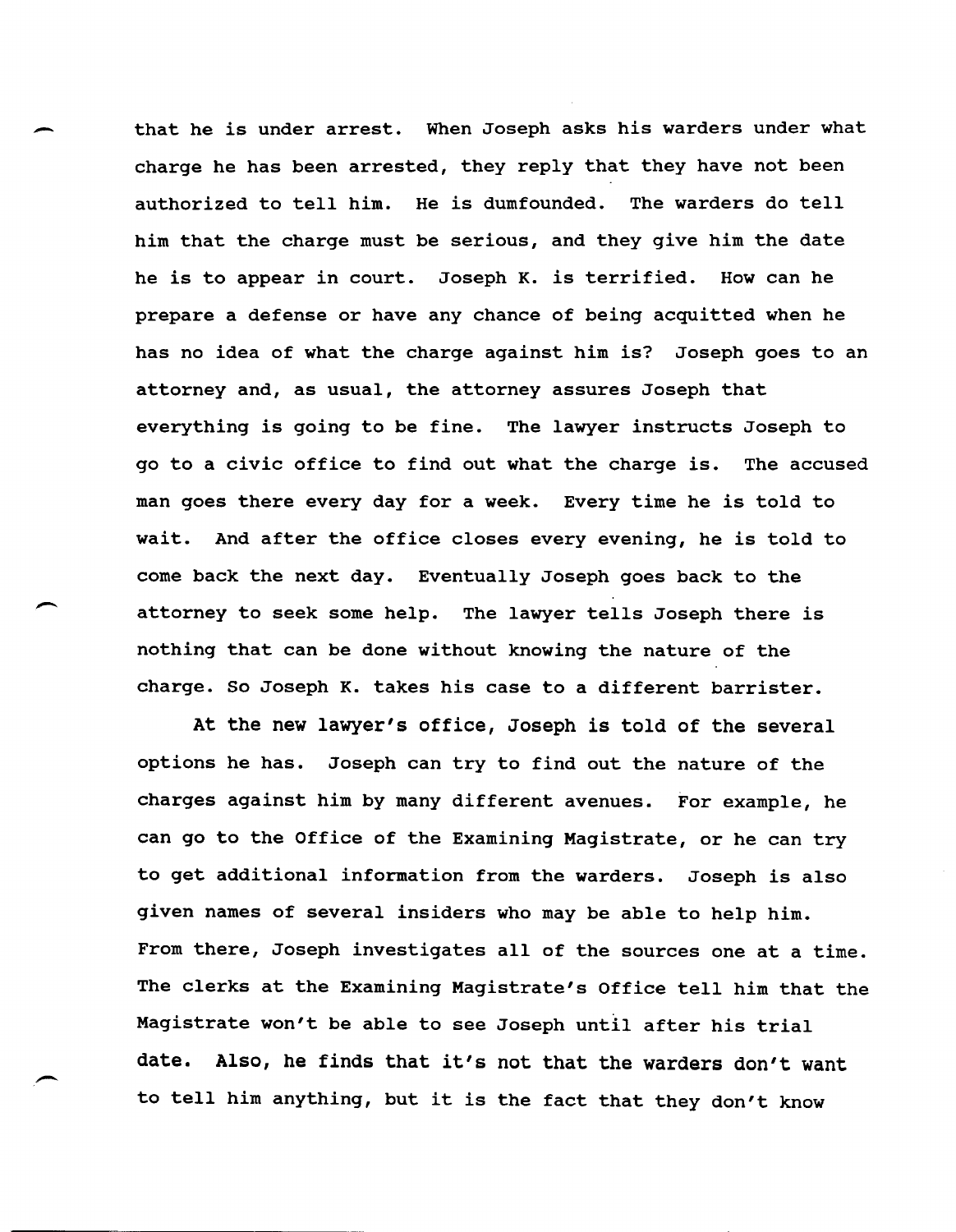that he is under arrest. When Joseph asks his warders under what charge he has been arrested, they reply that they have not been authorized to tell him. He is dumfounded. The warders do tell him that the charge must be serious, and they give him the date he is to appear in court. Joseph K. is terrified. How can he prepare a defense or have any chance of being acquitted when he has no idea of what the charge against him is? Joseph goes to an attorney and, as usual, the attorney assures Joseph that everything is going to be fine. The lawyer instructs Joseph to go to a civic office to find out what the charge is. The accused man goes there every day for a week. Every time he is told to wait. And after the office closes every evening, he is told to come back the next day. Eventually Joseph goes back to the attorney to seek some help. The lawyer tells Joseph there is nothing that can be done without knowing the nature of the charge. So Joseph K. takes his case to a different barrister.

At the new lawyer's office, Joseph is told of the several options he has. Joseph can try to find out the nature of the charges against him by many different avenues. For example, he can go to the Office of the Examining Magistrate, or he can try to get additional information from the warders. Joseph is also given names of several insiders who may be able to help him. From there, Joseph investigates all of the sources one at a time. The clerks at the Examining Magistrate's Office tell him that the Magistrate won't be able to see Joseph until after his trial date. Also, he finds that it's not that the warders don't want to tell him anything, but it is the fact that they don't know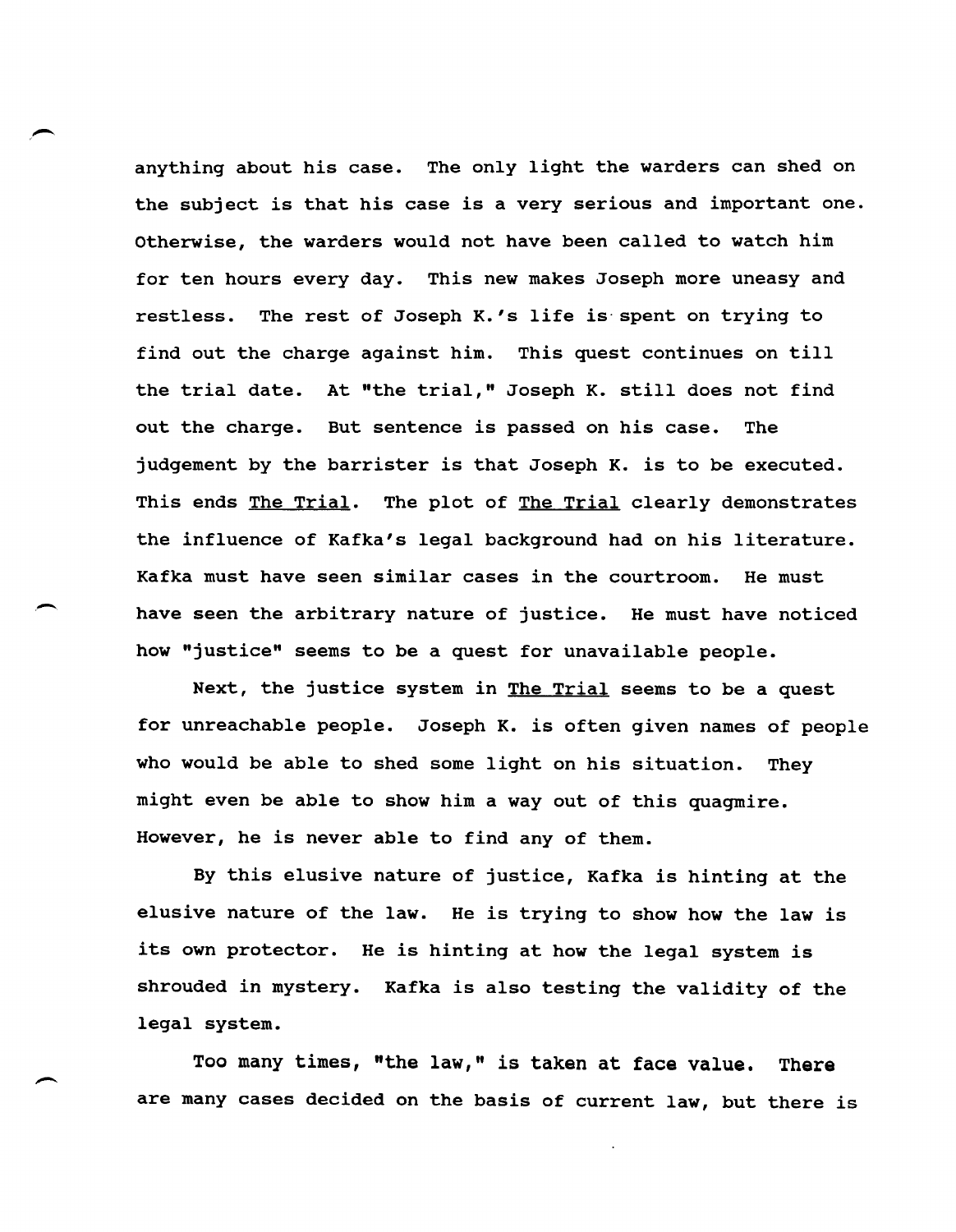anything about his case. The only light the warders can shed on the subject is that his case is a very serious and important one. Otherwise, the warders would not have been called to watch him for ten hours every day. This new makes Joseph more uneasy and restless. The rest of Joseph K.'s life is· spent on trying to find out the charge against him. This quest continues on till the trial date. At "the trial," Joseph K. still does not find out the charge. But sentence is passed on his case. The judgement by the barrister is that Joseph K. is to be executed. This ends The Trial. The plot of The Trial clearly demonstrates the influence of Kafka's legal background had on his literature. Kafka must have seen similar cases in the courtroom. He must have seen the arbitrary nature of justice. He must have noticed how "justice" seems to be a quest for unavailable people.

Next, the justice system in The Trial seems to be a quest for unreachable people. Joseph K. is often given names of people who would be able to shed some light on his situation. They might even be able to show him a way out of this quagmire. However, he is never able to find any of them.

By this elusive nature of justice, Kafka is hinting at the elusive nature of the law. He is trying to show how the law is its own protector. He is hinting at how the legal system is shrouded in mystery. Kafka is also testing the validity of the legal system.

Too many times, "the law," is taken at face value. There are many cases decided on the basis of current law, but there is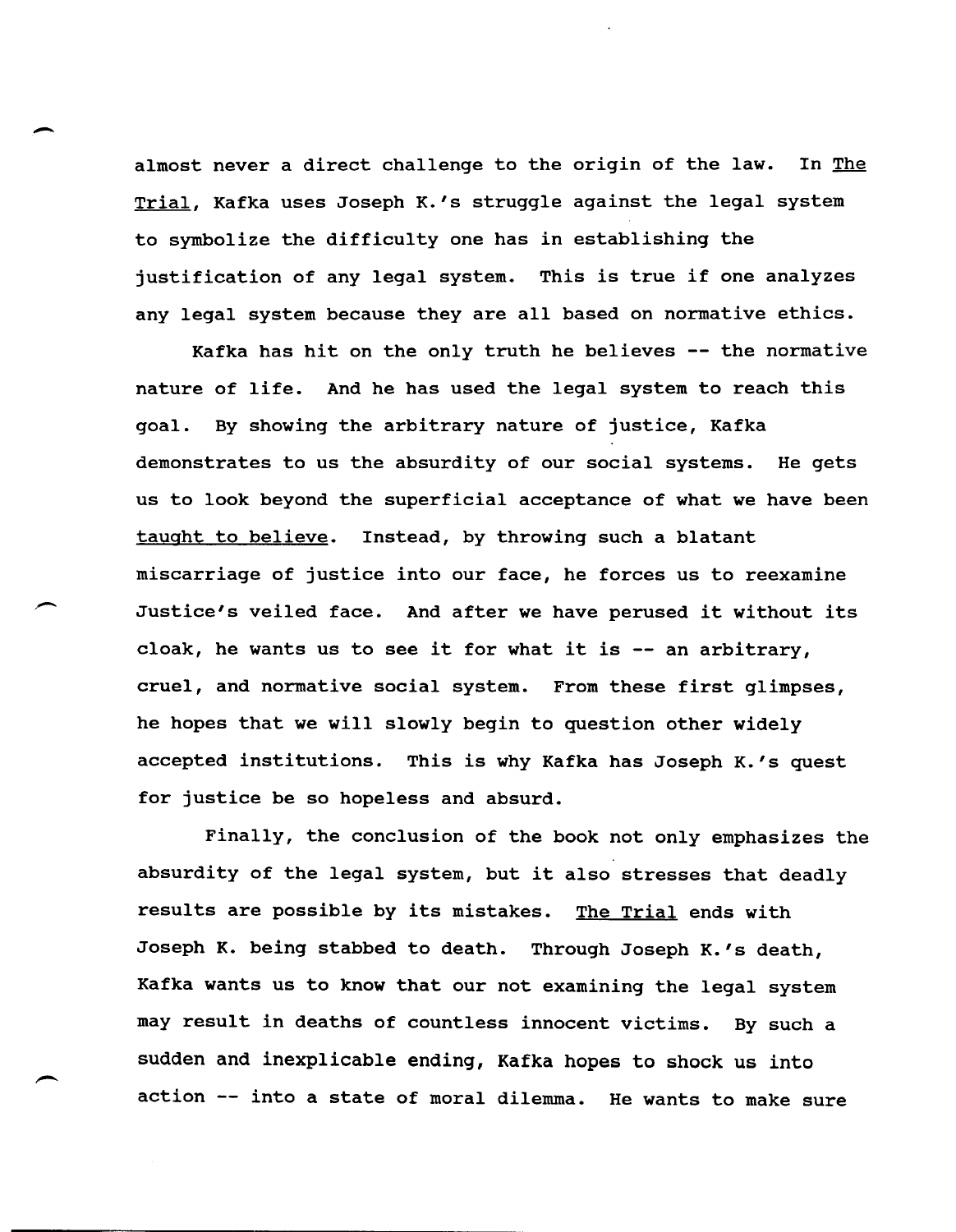almost never a direct challenge to the origin of the law. In The Trial, Kafka uses Joseph K.'s struggle against the legal system to symbolize the difficulty one has in establishing the justification of any legal system. This is true if one analyzes any legal system because they are all based on normative ethics.

Kafka has hit on the only truth he believes -- the normative nature of life. And he has used the legal system to reach this goal. By showing the arbitrary nature of justice, Kafka demonstrates to us the absurdity of our social systems. He gets us to look beyond the superficial acceptance of what we have been taught to believe. Instead, by throwing such a blatant miscarriage of justice into our face, he forces us to reexamine Justice's veiled face. And after we have perused it without its cloak, he wants us to see it for what it is -- an arbitrary, cruel, and normative social system. From these first glimpses, he hopes that we will slowly begin to question other widely accepted institutions. This is why Kafka has Joseph K.'s quest for justice be so hopeless and absurd.

Finally, the conclusion of the book not only emphasizes the absurdity of the legal system, but it also stresses that deadly results are possible by its mistakes. The Trial ends with Joseph K. being stabbed to death. Through Joseph K.'s death, Kafka wants us to know that our not examining the legal system may result in deaths of countless innocent victims. By such a sudden and inexplicable ending, Kafka hopes to shock us into action -- into a state of moral dilemma. He wants to make sure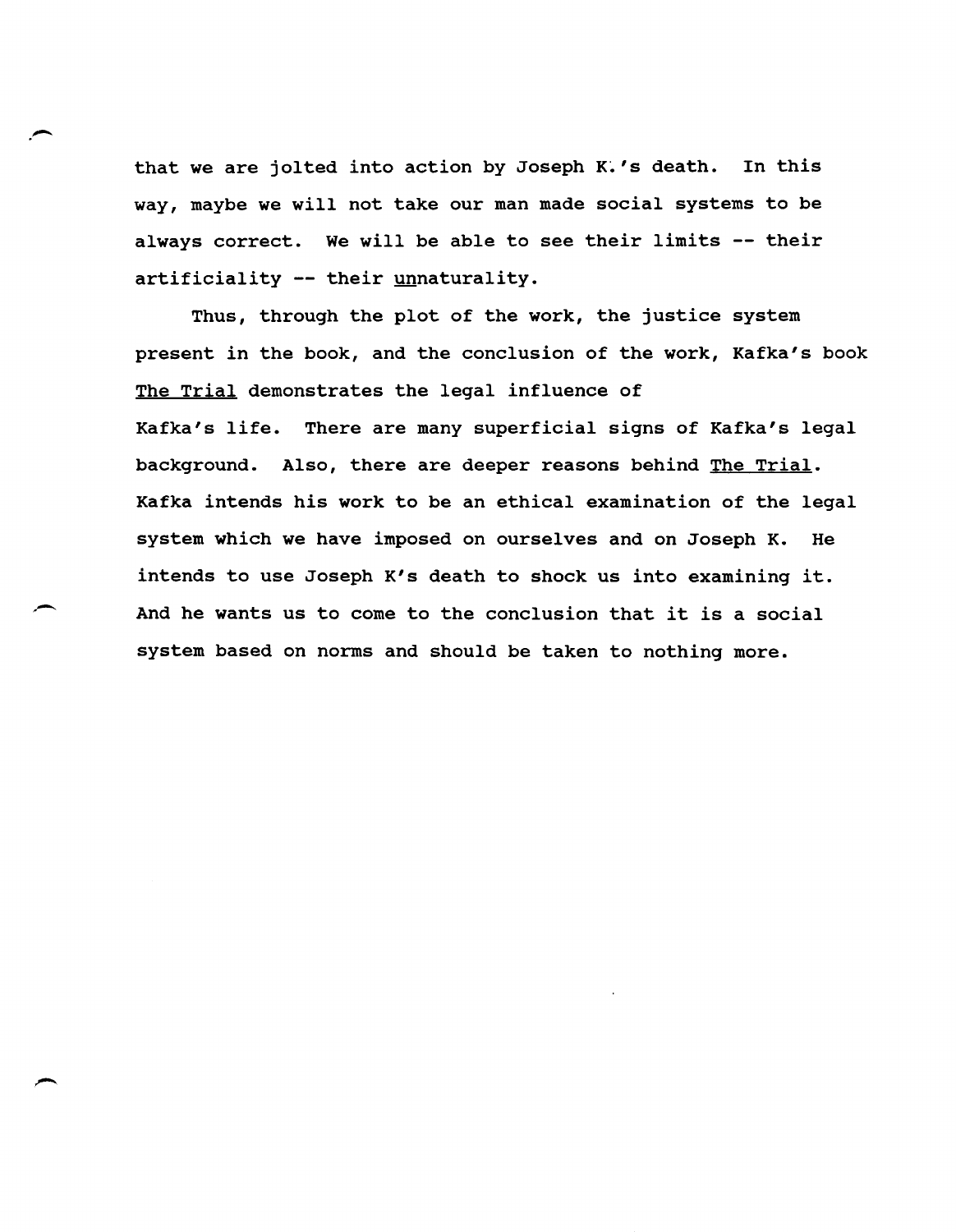that we are jolted into action by Joseph K.'s death. In this way, maybe we will not take our man made social systems to be always correct. We will be able to see their limits -- their artificiality -- their unnaturality.

.-

Thus, through the plot of the work, the justice system present in the book, and the conclusion of the work, Kafka's book The Trial demonstrates the legal influence of Kafka's life. There are many superficial signs of Kafka's legal background. Also, there are deeper reasons behind The Trial. Kafka intends his work to be an ethical examination of the legal system which we have imposed on ourselves and on Joseph K. He intends to use Joseph K's death to shock us into examining it. And he wants us to come to the conclusion that it is a social system based on norms and should be taken to nothing more.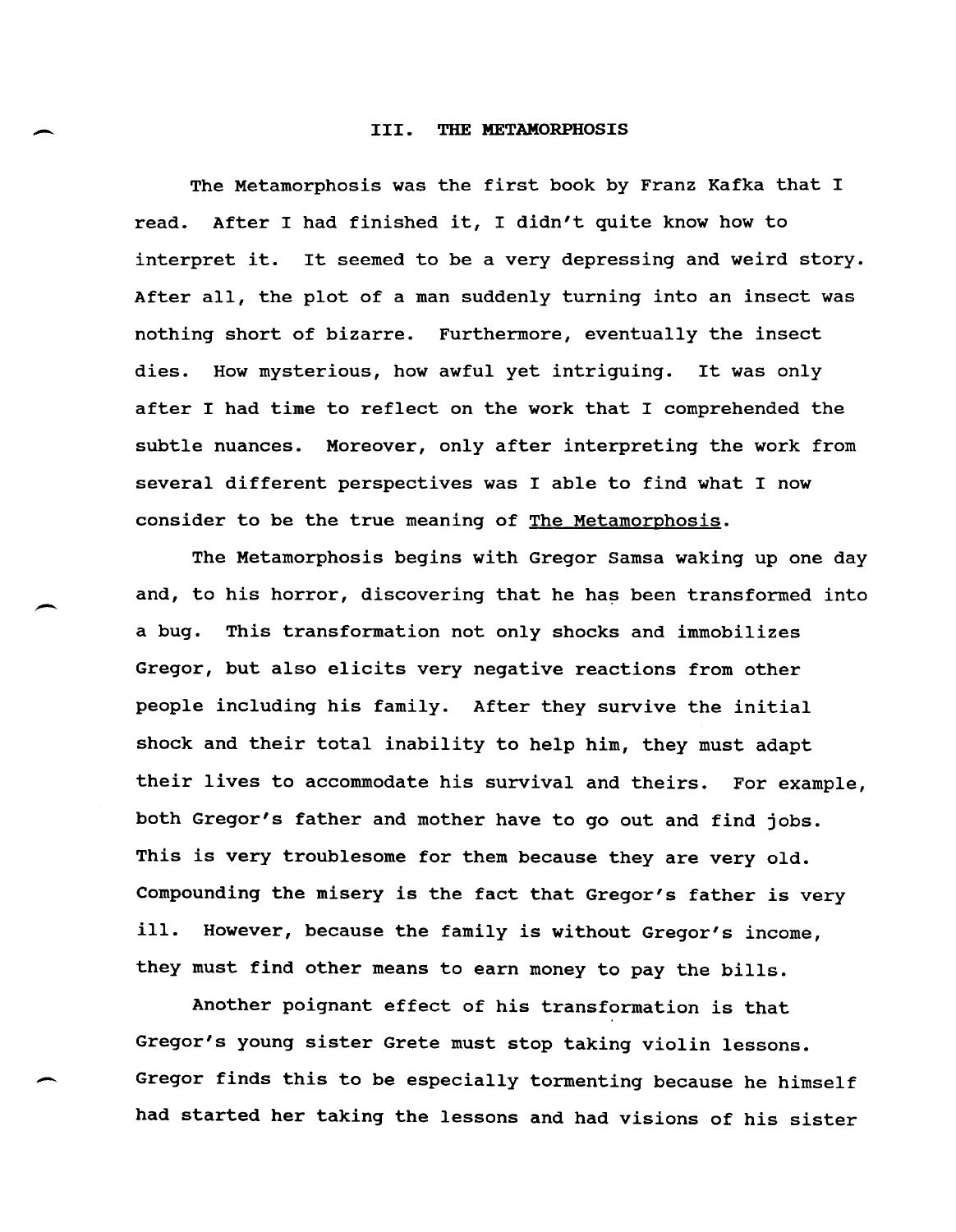### III. THE METAMORPHOSIS

 $\overline{\phantom{0}}$ 

,-

The Metamorphosis was the first book by Franz Kafka that I read. After I had finished it, I didn't quite know how to interpret it. It seemed to be a very depressing and weird story. After all, the plot of a man suddenly turning into an insect was nothing short of bizarre. Furthermore, eventually the insect dies. How mysterious, how awful yet intriguing. It was only after I had time to reflect on the work that I comprehended the subtle nuances. Moreover, only after interpreting the work from several different perspectives was I able to find what I now consider to be the true meaning of The Metamorphosis.

The Metamorphosis begins with Gregor Samsa waking up one day and, to his horror, discovering that he has been transformed into a bug. This transformation not only shocks and immobilizes Gregor, but also elicits very negative reactions from other people including his family. After they survive the initial shock and their total inability to help him, they must adapt their lives to accommodate his survival and theirs. For example, both Gregor's father and mother have to go out and find jobs. This is very troublesome for them because they are very old. Compounding the misery is the fact that Gregor's father is very ill. However, because the family is without Gregor's income, they must find other means to earn money to pay the bills.

Another poignant effect of his transformation is that Gregor's young sister Grete must stop taking violin lessons. Gregor finds this to be especially tormenting because he himself had started her taking the lessons and had visions of his sister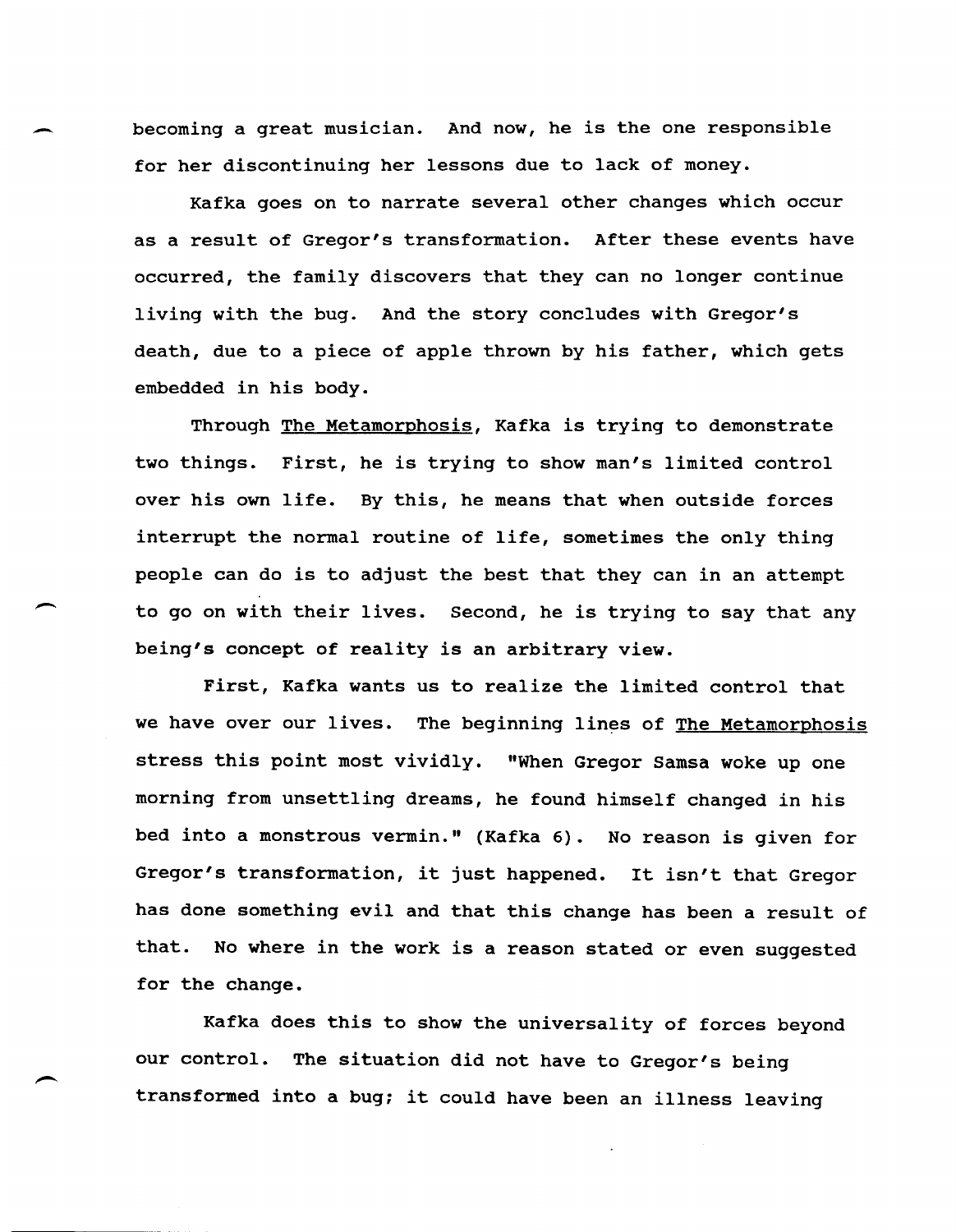becoming a great musician. And now, he is the one responsible for her discontinuing her lessons due to lack of money.

Kafka goes on to narrate several other changes which occur as a result of Gregor's transformation. After these events have occurred, the family discovers that they can no longer continue living with the bug. And the story concludes with Gregor's death, due to a piece of apple thrown by his father, which gets embedded in his body.

Through The Metamorphosis, Kafka is trying to demonstrate two things. First, he is trying to show man's limited control over his own life. By this, he means that when outside forces interrupt the normal routine of life, sometimes the only thing people can do is to adjust the best that they can in an attempt to go on with their lives. Second, he is trying to say that any being's concept of reality is an arbitrary view.

First, Kafka wants us to realize the limited control that we have over our lives. The beginning lines of The Metamorphosis stress this point most vividly. "When Gregor Samsa woke up one morning from unsettling dreams, he found himself changed in his bed into a monstrous vermin." (Kafka 6). No reason is given for Gregor's transformation, it just happened. It isn't that Gregor has done something evil and that this change has been a result of that. No where in the work is a reason stated or even suggested for the change.

Kafka does this to show the universality of forces beyond our control. The situation did not have to Gregor's being transformed into a bug; it could have been an illness leaving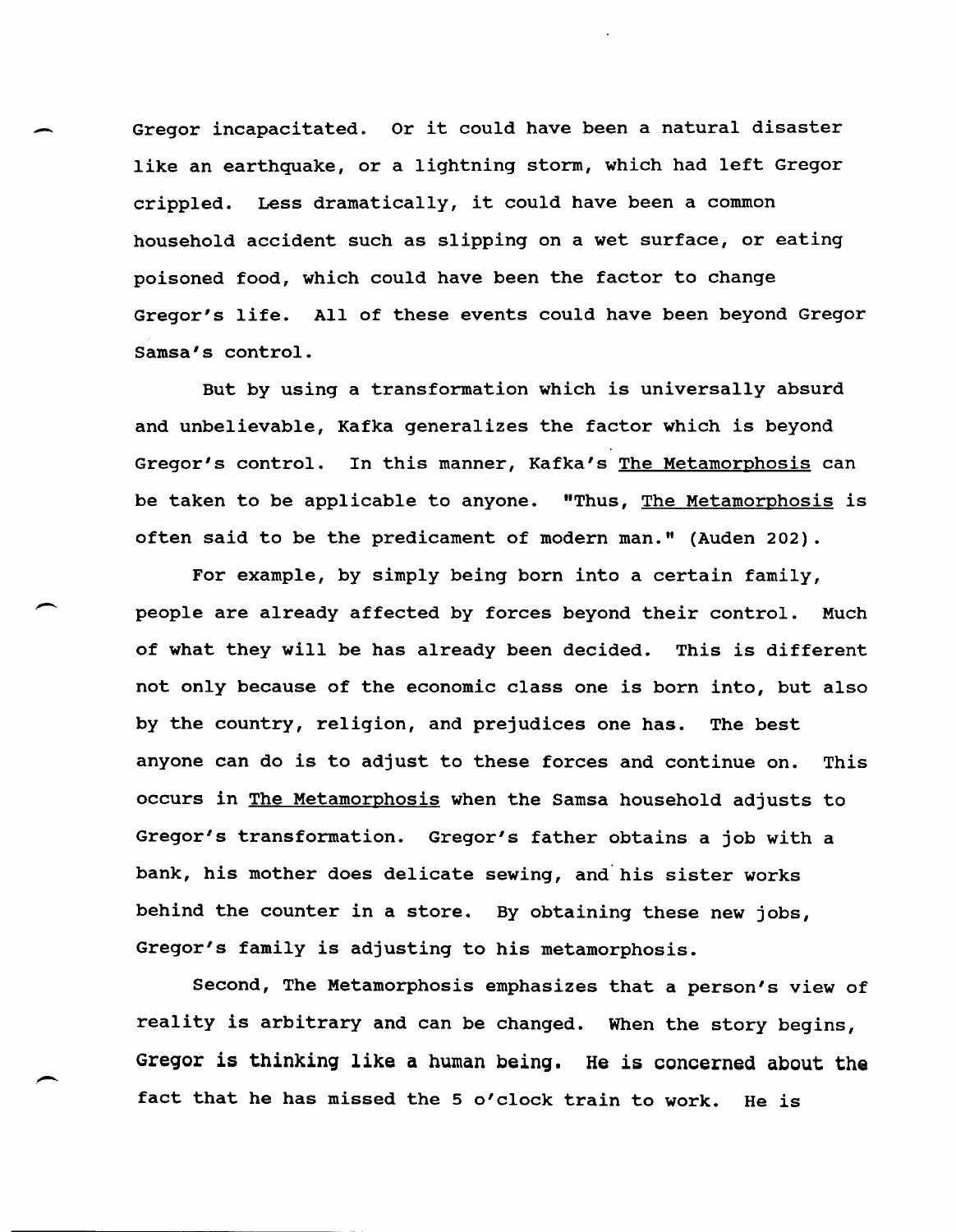Gregor incapacitated. Or it could have been a natural disaster like an earthquake, or a lightning storm, which had left Gregor crippled. Less dramatically, it could have been a common household accident such as slipping on a wet surface, or eating poisoned food, which could have been the factor to change Gregor's life. All of these events could have been beyond Gregor Samsa's control.

But by using a transformation which is universally absurd and unbelievable, Kafka generalizes the factor which is beyond Gregor's control. In this manner, Kafka's The Metamorphosis can be taken to be applicable to anyone. "Thus, The Metamorphosis is often said to be the predicament of modern man." (Auden 202).

For example, by simply being born into a certain family, people are already affected by forces beyond their control. Much of what they will be has already been decided. This is different not only because of the economic class one is born into, but also by the country, religion, and prejudices one has. The best anyone can do is to adjust to these forces and continue on. This occurs in The Metamorphosis when the Samsa household adjusts to Gregor's transformation. Gregor's father obtains a job with a bank, his mother does delicate sewing, and" his sister works behind the counter in a store. By obtaining these new jobs, Gregor's family is adjusting to his metamorphosis.

Second, The Metamorphosis emphasizes that a person's view of reality is arbitrary and can be changed. When the story begins, Gregor is thinking like a human being. He is concerned about the fact that he has missed the 5 o'clock train to work. He is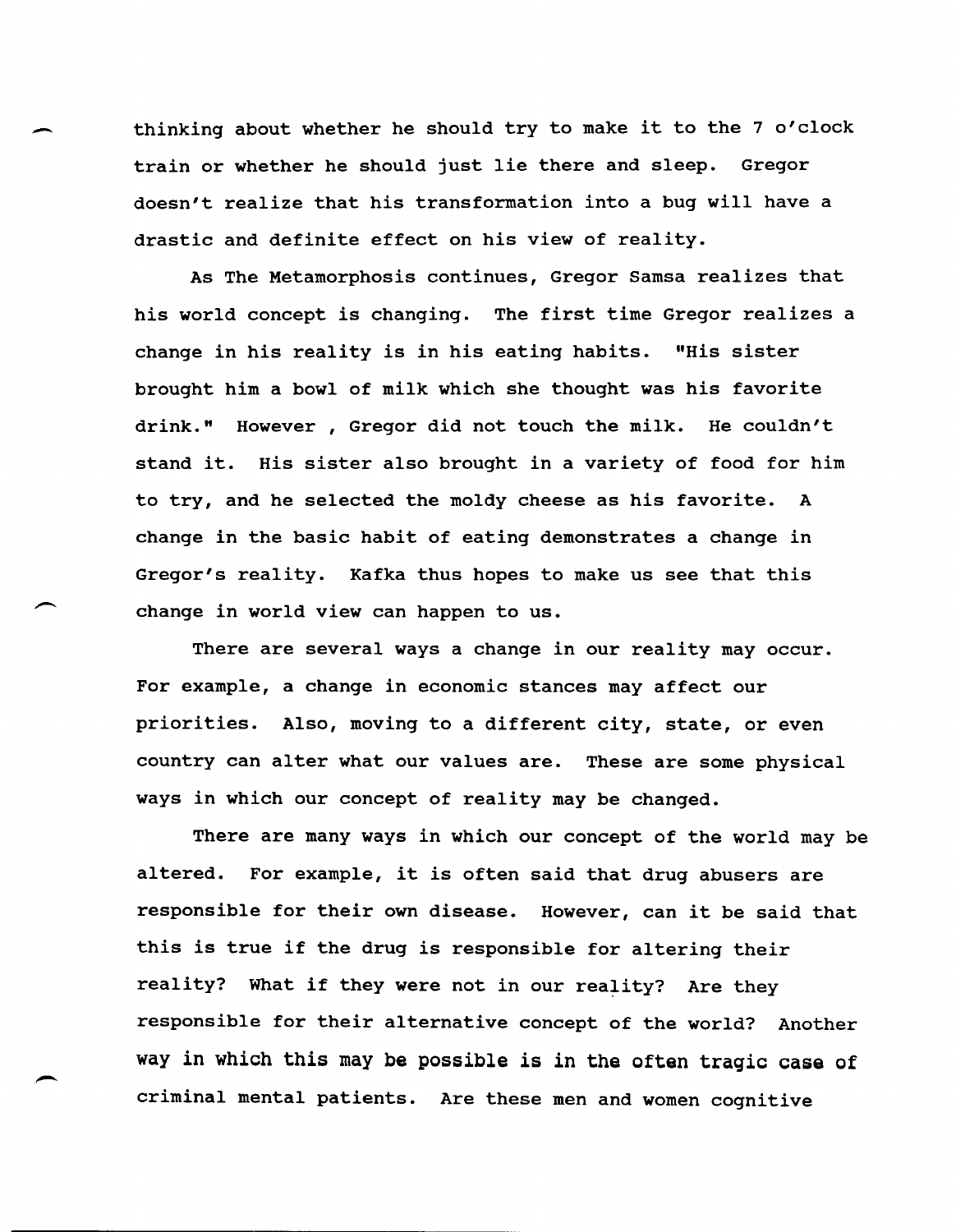thinking about whether he should try to make it to the 7 o'clock train or whether he should just lie there and sleep. Gregor doesn't realize that his transformation into a bug will have a drastic and definite effect on his view of reality.

As The Metamorphosis continues, Gregor Samsa realizes that his world concept is changing. The first time Gregor realizes a change in his reality is in his eating habits. "His sister brought him a bowl of milk which she thought was his favorite drink." However, Gregor did not touch the milk. He couldn't stand it. His sister also brought in a variety of food for him to try, and he selected the moldy cheese as his favorite. A change in the basic habit of eating demonstrates a change in Gregor's reality. Kafka thus hopes to make us see that this change in world view can happen to us.

There are several ways a change in our reality may occur. For example, a change in economic stances may affect our priorities. Also, moving to a different city, state, or even country can alter what our values are. These are some physical ways in which our concept of reality may be changed.

There are many ways in which our concept of the world may be altered. For example, it is often said that drug abusers are responsible for their own disease. However, can it be said that this is true if the drug is responsible for altering their reality? What if they were not in our reality? Are they responsible for their alternative concept of the world? Another way in which this may be possible is in the often tragic case of criminal mental patients. Are these men and women cognitive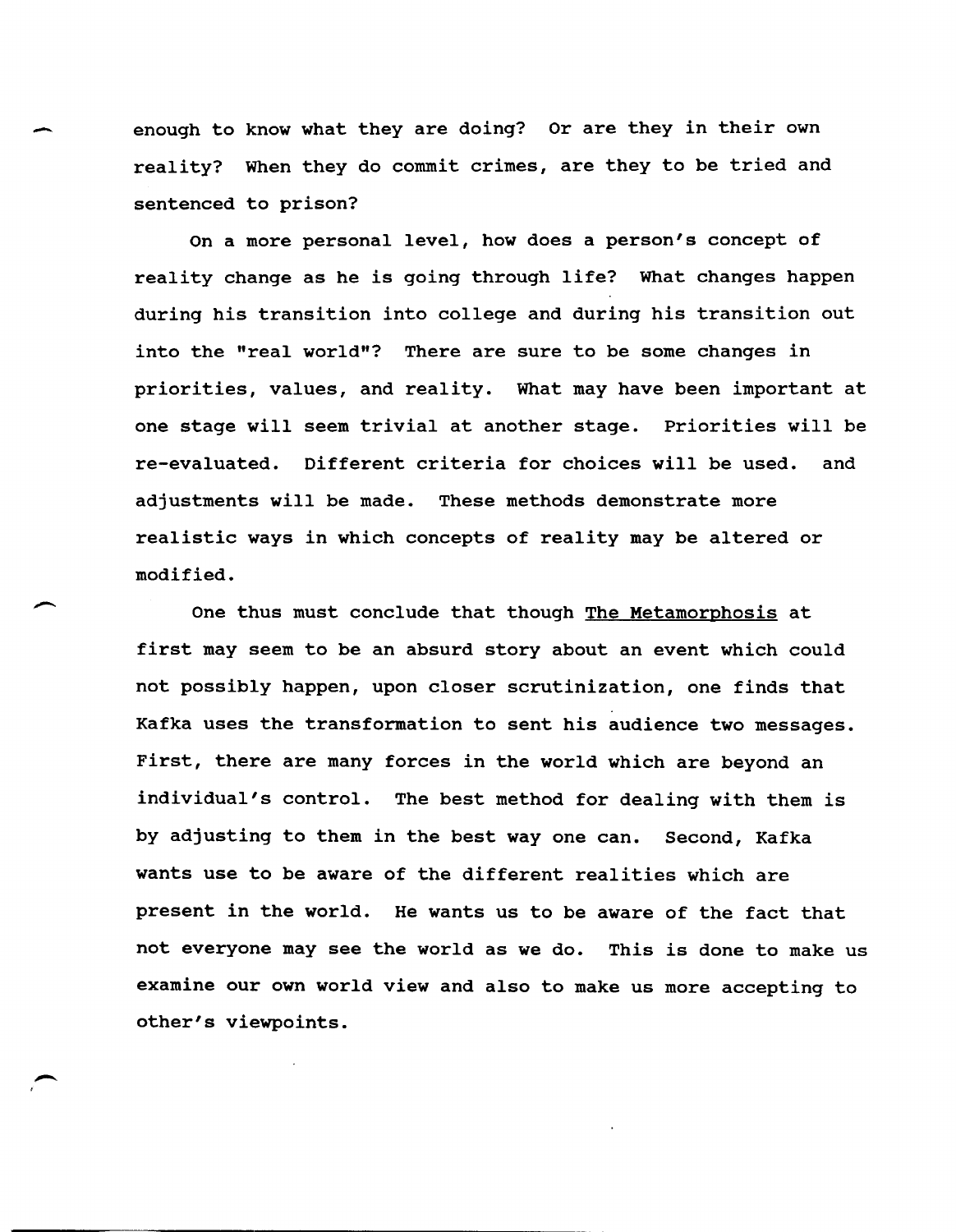enough to know what they are doing? Or are they in their own reality? When they do commit crimes, are they to be tried and sentenced to prison?

-

 $\overline{\phantom{a}}$ 

On a more personal level, how does a person's concept of reality change as he is going through life? What changes happen during his transition into college and during his transition out into the "real world"? There are sure to be some changes in priorities, values, and reality. What may have been important at one stage will seem trivial at another stage. Priorities will be re-evaluated. Different criteria for choices will be used. and adjustments will be made. These methods demonstrate more realistic ways in which concepts of reality may be altered or modified.

One thus must conclude that though The Metamorphosis at first may seem to be an absurd story about an event which could not possibly happen, upon closer scrutinization, one finds that Kafka uses the transformation to sent his audience two messages. First, there are many forces in the world which are beyond an individual's control. The best method for dealing with them is by adjusting to them in the best way one can. Second, Kafka wants use to be aware of the different realities which are present in the world. He wants us to be aware of the fact that not everyone may see the world as we do. This is done to make us examine our own world view and also to make us more accepting to other's viewpoints.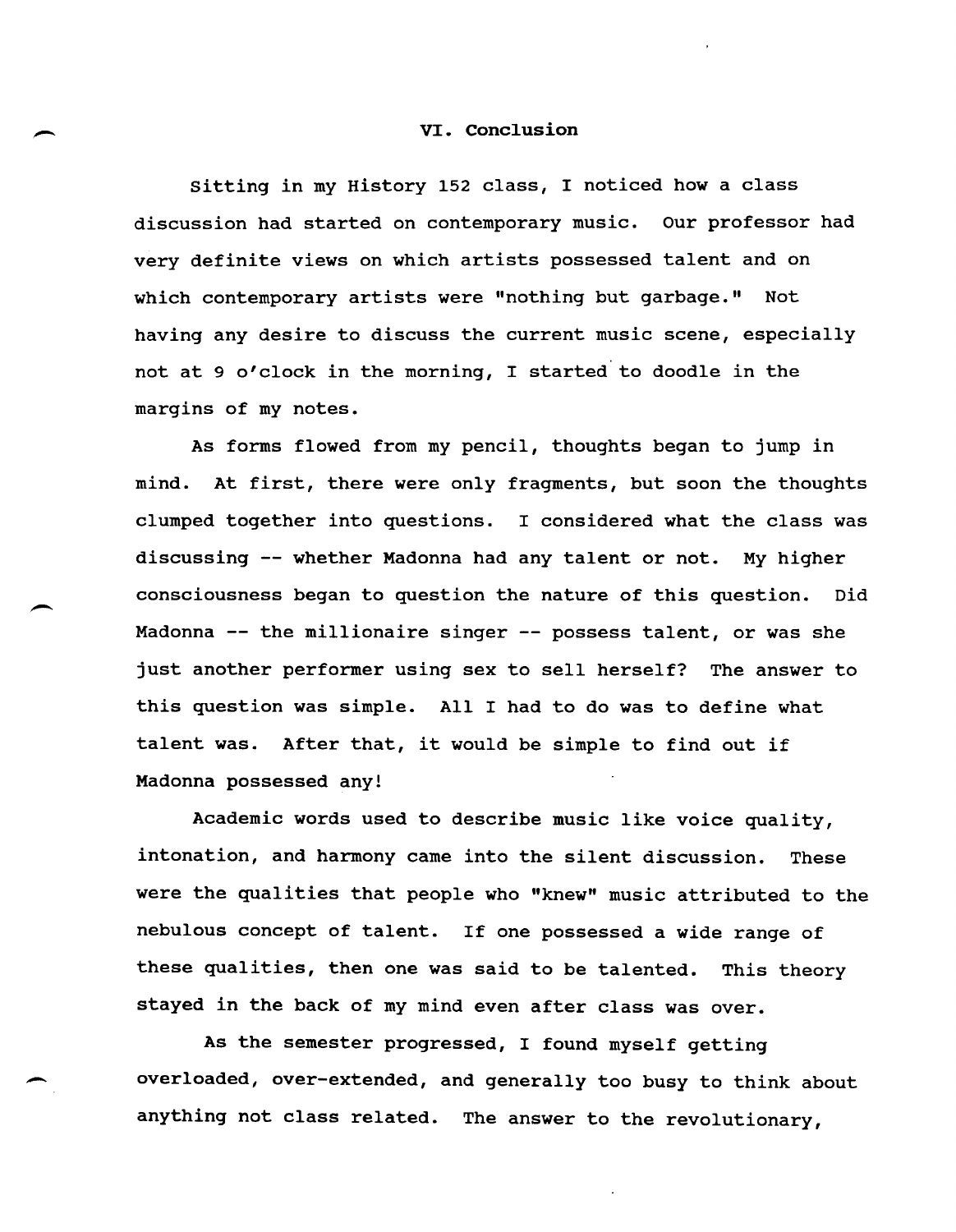# VI. Conclusion

sitting in my History 152 class, I noticed how a class discussion had started on contemporary music. Our professor had very definite views on which artists possessed talent and on which contemporary artists were "nothing but garbage." Not having any desire to discuss the current music scene, especially not at 9 o'clock in the morning, I started to doodle in the margins of my notes.

As forms flowed from my pencil, thoughts began to jump in mind. At first, there were only fragments, but soon the thoughts clumped together into questions. I considered what the class was discussing -- whether Madonna had any talent or not. My higher consciousness began to question the nature of this question. Did Madonna -- the millionaire singer -- possess talent, or was she just another performer using sex to sell herself? The answer to this question was simple. All I had to do was to define what talent was. After that, it would be simple to find out if Madonna possessed any!

Academic words used to describe music like voice quality, intonation, and harmony came into the silent discussion. These were the qualities that people who "knew" music attributed to the nebulous concept of talent. If one possessed a wide range of these qualities, then one was said to be talented. This theory stayed in the back of my mind even after class was over.

As the semester progressed, I found myself getting overloaded, over-extended, and generally too busy to think about anything not class related. The answer to the revolutionary,

-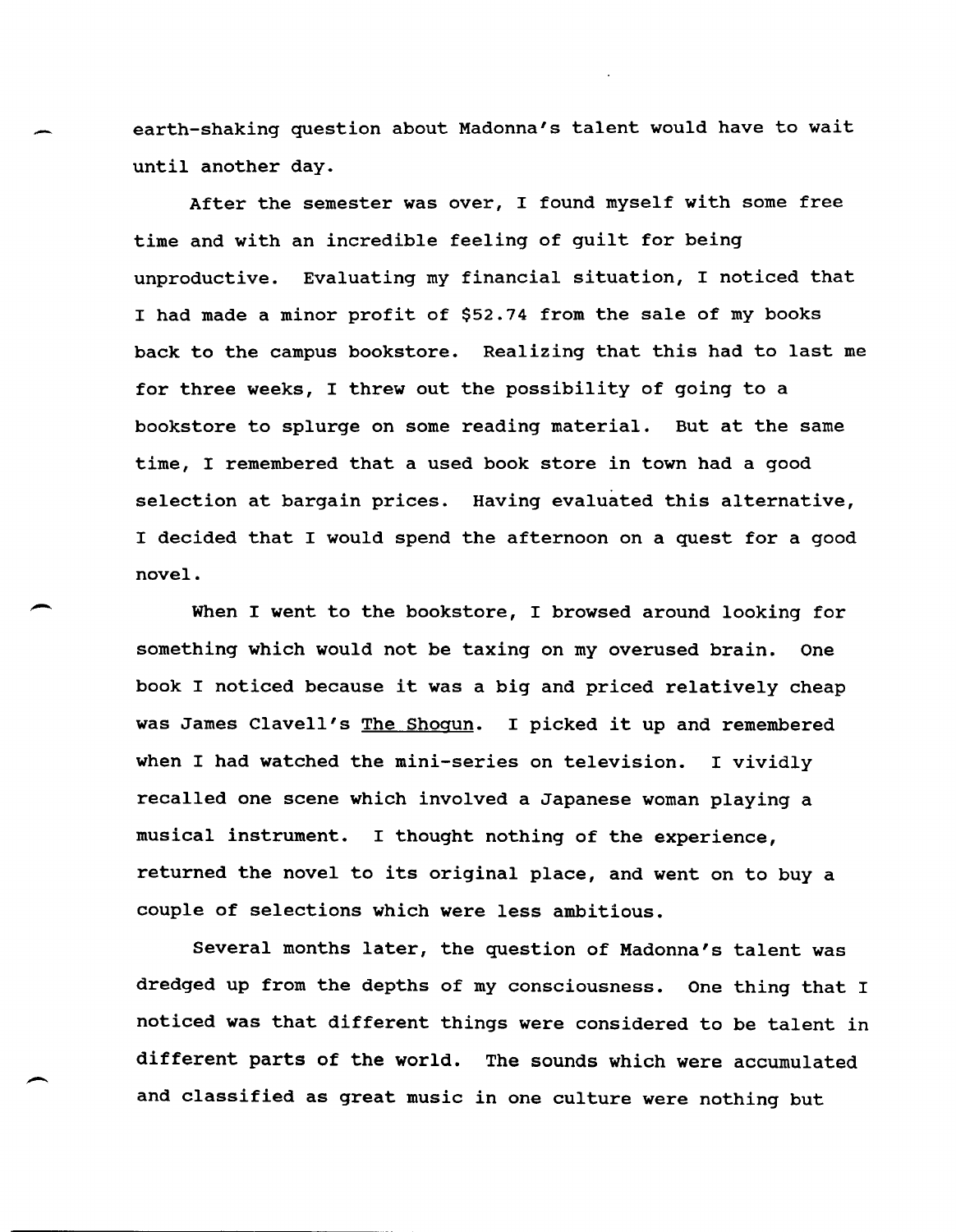earth-shaking question about Madonna's talent would have to wait until another day.

After the semester was over, I found myself with some free time and with an incredible feeling of guilt for being unproductive. Evaluating my financial situation, I noticed that I had made a minor profit of \$52.74 from the sale of my books back to the campus bookstore. Realizing that this had to last me for three weeks, I threw out the possibility of going to a bookstore to splurge on some reading material. But at the same time, I remembered that a used book store in town had a good selection at bargain prices. Having evaluated this alternative, I decided that I would spend the afternoon on a quest for a good novel.

When I went to the bookstore, I browsed around looking for something which would not be taxing on my overused brain. One book I noticed because it was a big and priced relatively cheap was James Clavell's The Shoqun. I picked it up and remembered when I had watched the mini-series on television. I vividly recalled one scene which involved a Japanese woman playing a musical instrument. I thought nothing of the experience, returned the novel to its original place, and went on to buy a couple of selections which were less ambitious.

Several months later, the question of Madonna's talent was dredged up from the depths of my consciousness. One thing that I noticed was that different things were considered to be talent in different parts of the world. The sounds which were accumulated and classified as great music in one culture were nothing but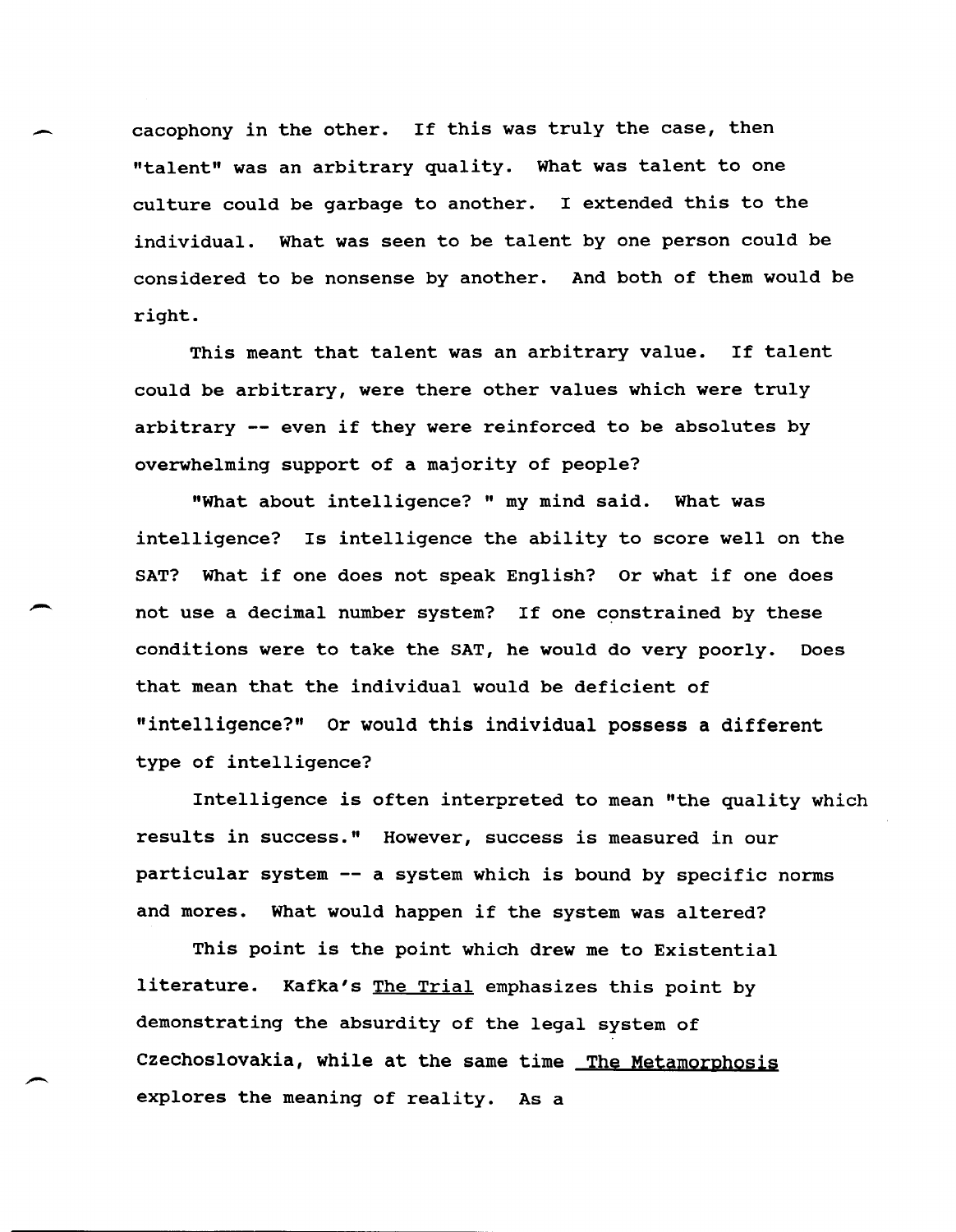cacophony in the other. If this was truly the case, then "talent" was an arbitrary quality. What was talent to one culture could be garbage to another. I extended this to the individual. What was seen to be talent by one person could be considered to be nonsense by another. And both of them would be right.

This meant that talent was an arbitrary value. If talent could be arbitrary, were there other values which were truly arbitrary -- even if they were reinforced to be absolutes by overwhelming support of a majority of people?

"What about intelligence? " my mind said. What was intelligence? Is intelligence the ability to score well on the SAT? What if one does not speak English? Or what if one does not use a decimal number system? If one constrained by these conditions were to take the SAT, he would do very poorly. Does that mean that the individual would be deficient of "intelligence?" Or would this individual possess a different type of intelligence?

Intelligence is often interpreted to mean "the quality which results in success." However, success is measured in our particular system -- a system which is bound by specific norms and mores. What would happen if the system was altered?

This point is the point which drew me to Existential literature. Kafka's The Trial emphasizes this point by demonstrating the absurdity of the legal system of Czechoslovakia, while at the same time The Metamorphosis explores the meaning of reality. As a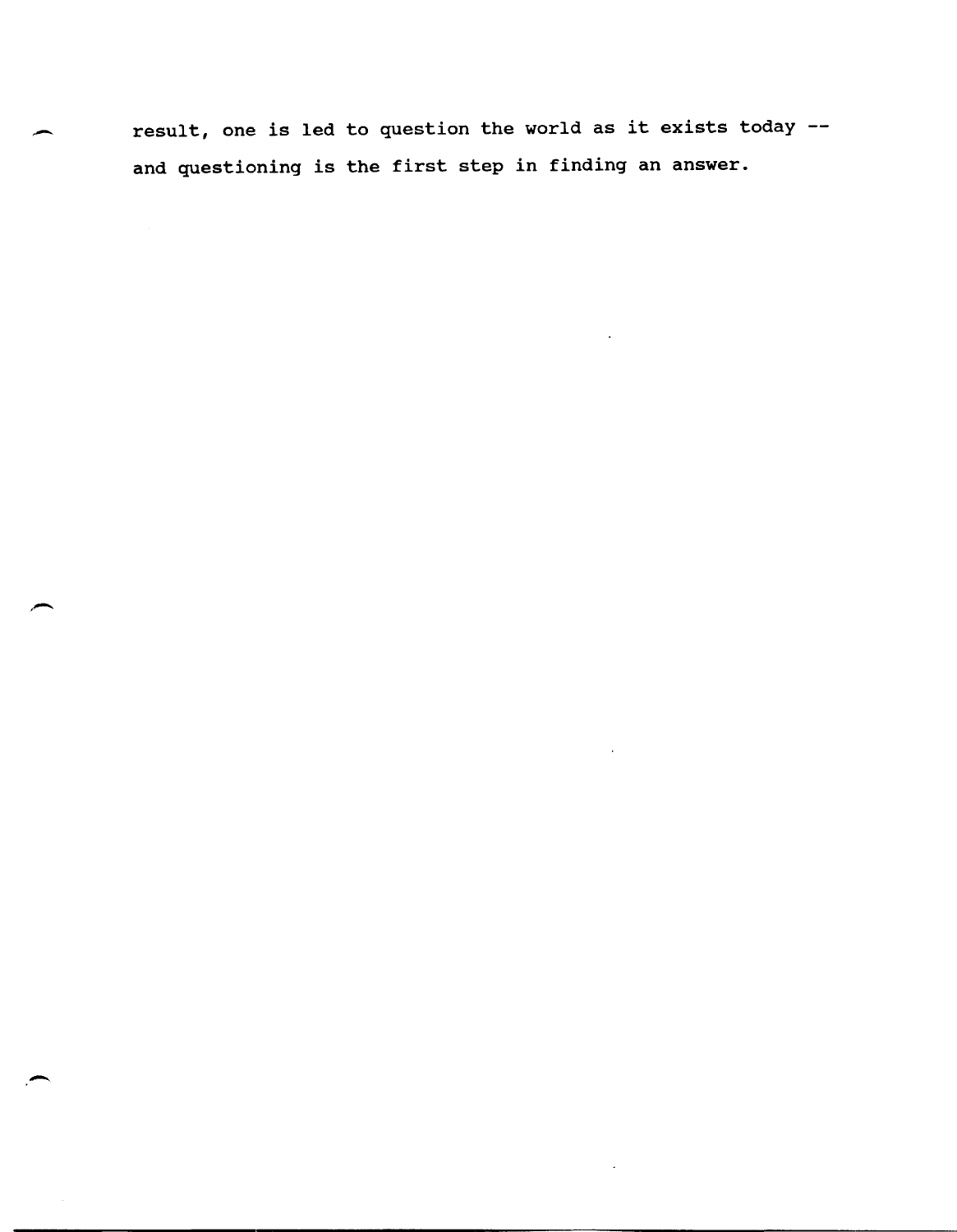result, one is led to question the world as it exists today -and questioning is the first step in finding an answer.

 $\cdot$